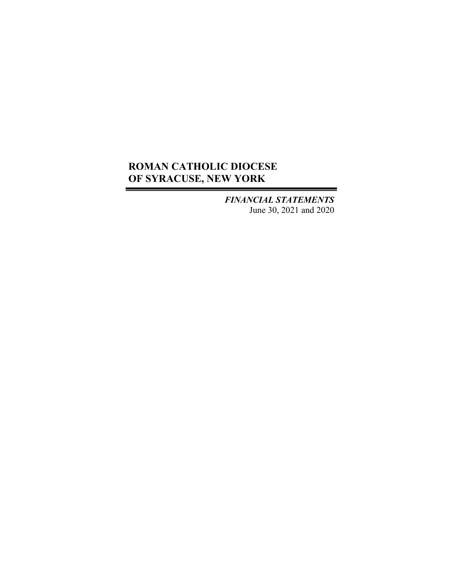## **ROMAN CATHOLIC DIOCESE OF SYRACUSE, NEW YORK**

*FINANCIAL STATEMENTS*  June 30, 2021 and 2020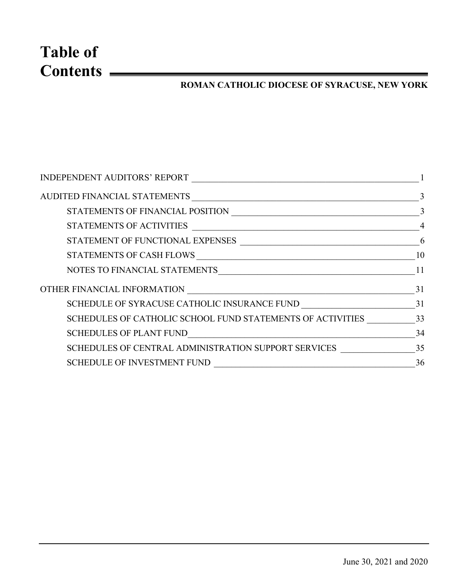# **Table of Contents**

## **ROMAN CATHOLIC DIOCESE OF SYRACUSE, NEW YORK**

| <b>INDEPENDENT AUDITORS' REPORT</b>                                                           |                |
|-----------------------------------------------------------------------------------------------|----------------|
| AUDITED FINANCIAL STATEMENTS<br><u> 1989 - Johann Alexandri, martxa alexandria (h. 1989).</u> | $\overline{3}$ |
| STATEMENTS OF FINANCIAL POSITION<br>$\overline{\phantom{a}3}$                                 |                |
| STATEMENTS OF ACTIVITIES                                                                      |                |
|                                                                                               |                |
|                                                                                               | 10             |
|                                                                                               | 11             |
|                                                                                               | 31             |
| SCHEDULE OF SYRACUSE CATHOLIC INSURANCE FUND 31                                               |                |
| SCHEDULES OF CATHOLIC SCHOOL FUND STATEMENTS OF ACTIVITIES 33                                 |                |
| <b>SCHEDULES OF PLANT FUND</b><br><u> 1980 - Jan Barnett, fransk politiker (d. 1980)</u>      | 34             |
| SCHEDULES OF CENTRAL ADMINISTRATION SUPPORT SERVICES                                          | 35             |
| <b>SCHEDULE OF INVESTMENT FUND</b>                                                            | 36             |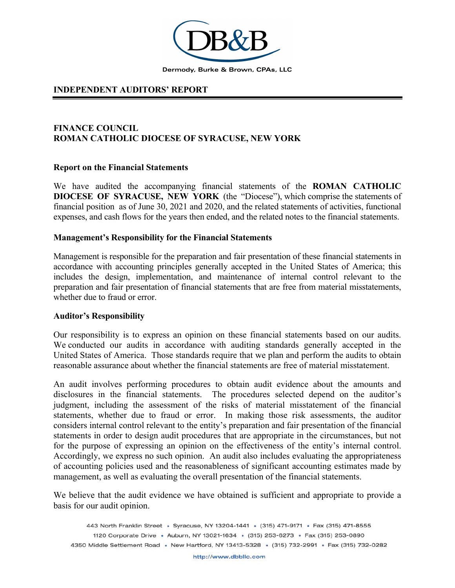

#### **INDEPENDENT AUDITORS' REPORT**

#### **FINANCE COUNCIL ROMAN CATHOLIC DIOCESE OF SYRACUSE, NEW YORK**

#### **Report on the Financial Statements**

We have audited the accompanying financial statements of the **ROMAN CATHOLIC DIOCESE OF SYRACUSE, NEW YORK** (the "Diocese"), which comprise the statements of financial position as of June 30, 2021 and 2020, and the related statements of activities, functional expenses, and cash flows for the years then ended, and the related notes to the financial statements.

#### **Management's Responsibility for the Financial Statements**

Management is responsible for the preparation and fair presentation of these financial statements in accordance with accounting principles generally accepted in the United States of America; this includes the design, implementation, and maintenance of internal control relevant to the preparation and fair presentation of financial statements that are free from material misstatements, whether due to fraud or error.

#### **Auditor's Responsibility**

Our responsibility is to express an opinion on these financial statements based on our audits. We conducted our audits in accordance with auditing standards generally accepted in the United States of America. Those standards require that we plan and perform the audits to obtain reasonable assurance about whether the financial statements are free of material misstatement.

An audit involves performing procedures to obtain audit evidence about the amounts and disclosures in the financial statements. The procedures selected depend on the auditor's judgment, including the assessment of the risks of material misstatement of the financial statements, whether due to fraud or error. In making those risk assessments, the auditor considers internal control relevant to the entity's preparation and fair presentation of the financial statements in order to design audit procedures that are appropriate in the circumstances, but not for the purpose of expressing an opinion on the effectiveness of the entity's internal control. Accordingly, we express no such opinion. An audit also includes evaluating the appropriateness of accounting policies used and the reasonableness of significant accounting estimates made by management, as well as evaluating the overall presentation of the financial statements.

We believe that the audit evidence we have obtained is sufficient and appropriate to provide a basis for our audit opinion.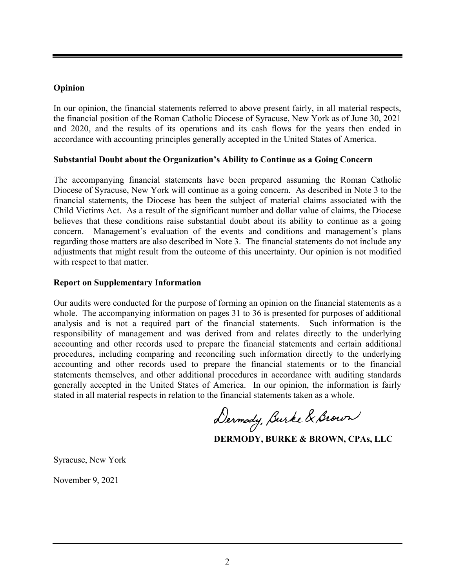#### **Opinion**

In our opinion, the financial statements referred to above present fairly, in all material respects, the financial position of the Roman Catholic Diocese of Syracuse, New York as of June 30, 2021 and 2020, and the results of its operations and its cash flows for the years then ended in accordance with accounting principles generally accepted in the United States of America.

#### **Substantial Doubt about the Organization's Ability to Continue as a Going Concern**

The accompanying financial statements have been prepared assuming the Roman Catholic Diocese of Syracuse, New York will continue as a going concern. As described in Note 3 to the financial statements, the Diocese has been the subject of material claims associated with the Child Victims Act. As a result of the significant number and dollar value of claims, the Diocese believes that these conditions raise substantial doubt about its ability to continue as a going concern. Management's evaluation of the events and conditions and management's plans regarding those matters are also described in Note 3. The financial statements do not include any adjustments that might result from the outcome of this uncertainty. Our opinion is not modified with respect to that matter.

#### **Report on Supplementary Information**

Our audits were conducted for the purpose of forming an opinion on the financial statements as a whole. The accompanying information on pages 31 to 36 is presented for purposes of additional analysis and is not a required part of the financial statements. Such information is the responsibility of management and was derived from and relates directly to the underlying accounting and other records used to prepare the financial statements and certain additional procedures, including comparing and reconciling such information directly to the underlying accounting and other records used to prepare the financial statements or to the financial statements themselves, and other additional procedures in accordance with auditing standards generally accepted in the United States of America. In our opinion, the information is fairly stated in all material respects in relation to the financial statements taken as a whole.

Dermody, Burke & Brown

 **DERMODY, BURKE & BROWN, CPAs, LLC** 

Syracuse, New York

November 9, 2021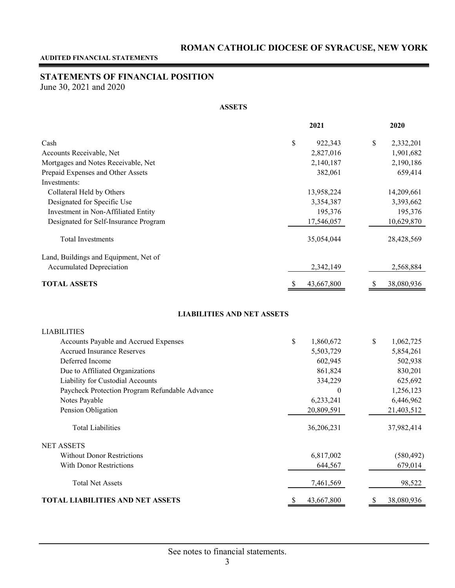## **STATEMENTS OF FINANCIAL POSITION**

June 30, 2021 and 2020

#### **ASSETS**

|                                       | 2021          | 2020            |
|---------------------------------------|---------------|-----------------|
| Cash                                  | \$<br>922,343 | \$<br>2,332,201 |
| Accounts Receivable, Net              | 2,827,016     | 1,901,682       |
| Mortgages and Notes Receivable, Net   | 2,140,187     | 2,190,186       |
| Prepaid Expenses and Other Assets     | 382,061       | 659,414         |
| Investments:                          |               |                 |
| Collateral Held by Others             | 13,958,224    | 14,209,661      |
| Designated for Specific Use           | 3,354,387     | 3,393,662       |
| Investment in Non-Affiliated Entity   | 195,376       | 195,376         |
| Designated for Self-Insurance Program | 17,546,057    | 10,629,870      |
| <b>Total Investments</b>              | 35,054,044    | 28,428,569      |
| Land, Buildings and Equipment, Net of |               |                 |
| <b>Accumulated Depreciation</b>       | 2,342,149     | 2,568,884       |
| <b>TOTAL ASSETS</b>                   | 43,667,800    | 38,080,936      |

#### **LIABILITIES AND NET ASSETS**

| <b>LIABILITIES</b>                             |                 |                  |
|------------------------------------------------|-----------------|------------------|
| Accounts Payable and Accrued Expenses          | \$<br>1,860,672 | \$.<br>1,062,725 |
| <b>Accrued Insurance Reserves</b>              | 5,503,729       | 5,854,261        |
| Deferred Income                                | 602,945         | 502,938          |
| Due to Affiliated Organizations                | 861,824         | 830,201          |
| Liability for Custodial Accounts               | 334,229         | 625,692          |
| Paycheck Protection Program Refundable Advance | $\theta$        | 1,256,123        |
| Notes Payable                                  | 6,233,241       | 6,446,962        |
| Pension Obligation                             | 20,809,591      | 21,403,512       |
| <b>Total Liabilities</b>                       | 36,206,231      | 37,982,414       |
| <b>NET ASSETS</b>                              |                 |                  |
| <b>Without Donor Restrictions</b>              | 6,817,002       | (580, 492)       |
| <b>With Donor Restrictions</b>                 | 644,567         | 679,014          |
| <b>Total Net Assets</b>                        | 7,461,569       | 98,522           |
| TOTAL LIABILITIES AND NET ASSETS               | 43,667,800      | 38,080,936       |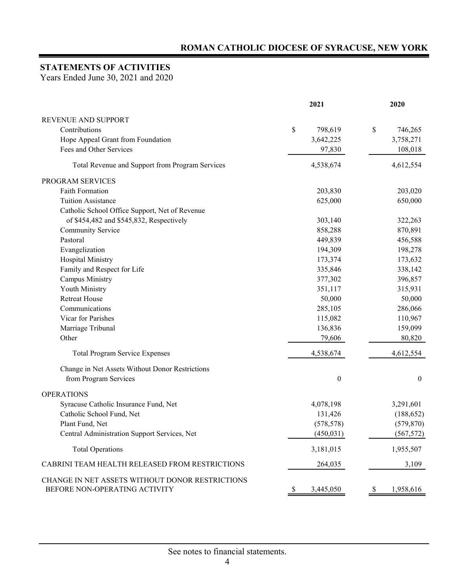## **STATEMENTS OF ACTIVITIES**

Years Ended June 30, 2021 and 2020

|                                                                                  | 2021                                 | 2020             |  |
|----------------------------------------------------------------------------------|--------------------------------------|------------------|--|
| REVENUE AND SUPPORT                                                              |                                      |                  |  |
| Contributions                                                                    | $\boldsymbol{\mathsf{S}}$<br>798,619 | \$<br>746,265    |  |
| Hope Appeal Grant from Foundation                                                | 3,642,225                            | 3,758,271        |  |
| Fees and Other Services                                                          | 97,830                               | 108,018          |  |
| Total Revenue and Support from Program Services                                  | 4,538,674                            | 4,612,554        |  |
| PROGRAM SERVICES                                                                 |                                      |                  |  |
| <b>Faith Formation</b>                                                           | 203,830                              | 203,020          |  |
| <b>Tuition Assistance</b>                                                        | 625,000                              | 650,000          |  |
| Catholic School Office Support, Net of Revenue                                   |                                      |                  |  |
| of \$454,482 and \$545,832, Respectively                                         | 303,140                              | 322,263          |  |
| Community Service                                                                | 858,288                              | 870,891          |  |
| Pastoral                                                                         | 449,839                              | 456,588          |  |
| Evangelization                                                                   | 194,309                              | 198,278          |  |
| <b>Hospital Ministry</b>                                                         | 173,374                              | 173,632          |  |
| Family and Respect for Life                                                      | 335,846                              | 338,142          |  |
| <b>Campus Ministry</b>                                                           | 377,302                              | 396,857          |  |
| Youth Ministry                                                                   | 351,117                              | 315,931          |  |
| <b>Retreat House</b>                                                             | 50,000                               | 50,000           |  |
| Communications                                                                   | 285,105                              | 286,066          |  |
| Vicar for Parishes                                                               | 115,082                              | 110,967          |  |
| Marriage Tribunal                                                                | 136,836                              | 159,099          |  |
| Other                                                                            | 79,606                               | 80,820           |  |
| <b>Total Program Service Expenses</b>                                            | 4,538,674                            | 4,612,554        |  |
| Change in Net Assets Without Donor Restrictions                                  |                                      |                  |  |
| from Program Services                                                            | $\boldsymbol{0}$                     | $\boldsymbol{0}$ |  |
| <b>OPERATIONS</b>                                                                |                                      |                  |  |
| Syracuse Catholic Insurance Fund, Net                                            | 4,078,198                            | 3,291,601        |  |
| Catholic School Fund, Net                                                        | 131,426                              | (188, 652)       |  |
| Plant Fund, Net                                                                  | (578, 578)                           | (579, 870)       |  |
| Central Administration Support Services, Net                                     | (450, 031)                           | (567, 572)       |  |
| <b>Total Operations</b>                                                          | 3,181,015                            | 1,955,507        |  |
| CABRINI TEAM HEALTH RELEASED FROM RESTRICTIONS                                   | 264,035                              | 3,109            |  |
| CHANGE IN NET ASSETS WITHOUT DONOR RESTRICTIONS<br>BEFORE NON-OPERATING ACTIVITY | 3,445,050<br>\$                      | 1,958,616<br>\$  |  |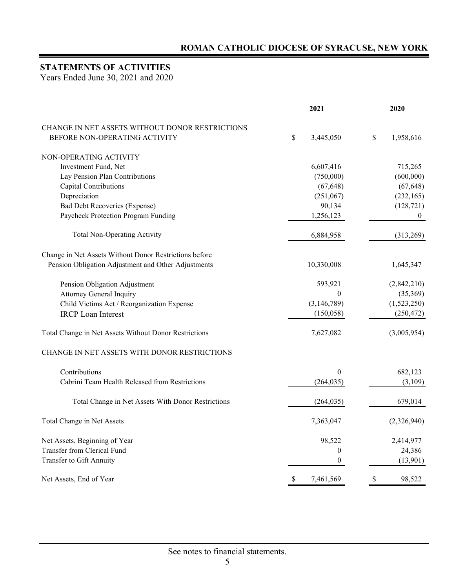## **STATEMENTS OF ACTIVITIES**

Years Ended June 30, 2021 and 2020

|                                                        | 2021             | 2020            |
|--------------------------------------------------------|------------------|-----------------|
| CHANGE IN NET ASSETS WITHOUT DONOR RESTRICTIONS        |                  |                 |
| BEFORE NON-OPERATING ACTIVITY                          | \$<br>3,445,050  | \$<br>1,958,616 |
| NON-OPERATING ACTIVITY                                 |                  |                 |
| Investment Fund, Net                                   | 6,607,416        | 715,265         |
| Lay Pension Plan Contributions                         | (750,000)        | (600,000)       |
| Capital Contributions                                  | (67, 648)        | (67, 648)       |
| Depreciation                                           | (251,067)        | (232, 165)      |
| Bad Debt Recoveries (Expense)                          | 90,134           | (128, 721)      |
| Paycheck Protection Program Funding                    | 1,256,123        | $\mathbf{0}$    |
| <b>Total Non-Operating Activity</b>                    | 6,884,958        | (313,269)       |
| Change in Net Assets Without Donor Restrictions before |                  |                 |
| Pension Obligation Adjustment and Other Adjustments    | 10,330,008       | 1,645,347       |
| Pension Obligation Adjustment                          | 593,921          | (2,842,210)     |
| <b>Attorney General Inquiry</b>                        | $\Omega$         | (35,369)        |
| Child Victims Act / Reorganization Expense             | (3, 146, 789)    | (1,523,250)     |
| <b>IRCP</b> Loan Interest                              | (150, 058)       | (250, 472)      |
| Total Change in Net Assets Without Donor Restrictions  | 7,627,082        | (3,005,954)     |
| CHANGE IN NET ASSETS WITH DONOR RESTRICTIONS           |                  |                 |
| Contributions                                          | $\theta$         | 682,123         |
| Cabrini Team Health Released from Restrictions         | (264, 035)       | (3,109)         |
| Total Change in Net Assets With Donor Restrictions     | (264, 035)       | 679,014         |
| Total Change in Net Assets                             | 7,363,047        | (2,326,940)     |
| Net Assets, Beginning of Year                          | 98,522           | 2,414,977       |
| Transfer from Clerical Fund                            | $\boldsymbol{0}$ | 24,386          |
| Transfer to Gift Annuity                               | $\mathbf{0}$     | (13,901)        |
| Net Assets, End of Year                                | 7,461,569<br>S   | \$<br>98,522    |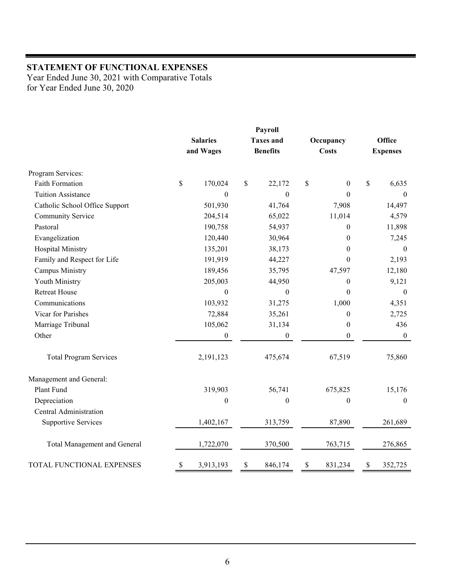## **STATEMENT OF FUNCTIONAL EXPENSES**

Year Ended June 30, 2021 with Comparative Totals for Year Ended June 30, 2020

|                                | Payroll |                  |    |                  |              |                  |                 |                  |
|--------------------------------|---------|------------------|----|------------------|--------------|------------------|-----------------|------------------|
|                                |         | <b>Salaries</b>  |    | <b>Taxes and</b> |              | Occupancy        |                 | <b>Office</b>    |
|                                |         | and Wages        |    | <b>Benefits</b>  | <b>Costs</b> |                  | <b>Expenses</b> |                  |
| Program Services:              |         |                  |    |                  |              |                  |                 |                  |
| <b>Faith Formation</b>         | \$      | 170,024          | \$ | 22,172           | \$           | $\boldsymbol{0}$ | $\mathsf{\$}$   | 6,635            |
| <b>Tuition Assistance</b>      |         | $\theta$         |    | $\boldsymbol{0}$ |              | $\overline{0}$   |                 | $\mathbf{0}$     |
| Catholic School Office Support |         | 501,930          |    | 41,764           |              | 7,908            |                 | 14,497           |
| Community Service              |         | 204,514          |    | 65,022           |              | 11,014           |                 | 4,579            |
| Pastoral                       |         | 190,758          |    | 54,937           |              | $\boldsymbol{0}$ |                 | 11,898           |
| Evangelization                 |         | 120,440          |    | 30,964           |              | $\boldsymbol{0}$ |                 | 7,245            |
| <b>Hospital Ministry</b>       |         | 135,201          |    | 38,173           |              | $\boldsymbol{0}$ |                 | $\boldsymbol{0}$ |
| Family and Respect for Life    |         | 191,919          |    | 44,227           |              | $\theta$         |                 | 2,193            |
| <b>Campus Ministry</b>         |         | 189,456          |    | 35,795           |              | 47,597           |                 | 12,180           |
| Youth Ministry                 |         | 205,003          |    | 44,950           |              | $\boldsymbol{0}$ |                 | 9,121            |
| <b>Retreat House</b>           |         | $\boldsymbol{0}$ |    | $\boldsymbol{0}$ |              | $\boldsymbol{0}$ |                 | $\boldsymbol{0}$ |
| Communications                 |         | 103,932          |    | 31,275           |              | 1,000            |                 | 4,351            |
| Vicar for Parishes             |         | 72,884           |    | 35,261           |              | $\boldsymbol{0}$ |                 | 2,725            |
| Marriage Tribunal              |         | 105,062          |    | 31,134           |              | $\boldsymbol{0}$ |                 | 436              |
| Other                          |         | $\boldsymbol{0}$ |    | $\boldsymbol{0}$ |              | $\mathbf{0}$     |                 | $\boldsymbol{0}$ |
| <b>Total Program Services</b>  |         | 2,191,123        |    | 475,674          |              | 67,519           |                 | 75,860           |
| Management and General:        |         |                  |    |                  |              |                  |                 |                  |
| Plant Fund                     |         | 319,903          |    | 56,741           |              | 675,825          |                 | 15,176           |
| Depreciation                   |         | $\boldsymbol{0}$ |    | $\boldsymbol{0}$ |              | $\boldsymbol{0}$ |                 | $\boldsymbol{0}$ |
| Central Administration         |         |                  |    |                  |              |                  |                 |                  |
| <b>Supportive Services</b>     |         | 1,402,167        |    | 313,759          |              | 87,890           |                 | 261,689          |
| Total Management and General   |         | 1,722,070        |    | 370,500          |              | 763,715          |                 | 276,865          |
| TOTAL FUNCTIONAL EXPENSES      | \$      | 3,913,193        | \$ | 846,174          | \$           | 831,234          | \$              | 352,725          |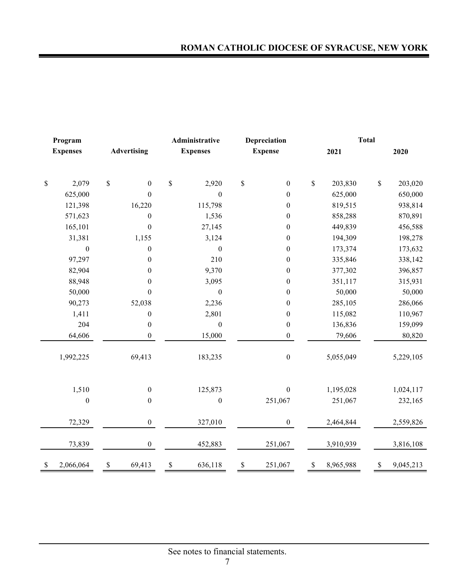| Program          |              |                    | Administrative |                  | Depreciation |                  |                 | <b>Total</b> |           |
|------------------|--------------|--------------------|----------------|------------------|--------------|------------------|-----------------|--------------|-----------|
| <b>Expenses</b>  |              | <b>Advertising</b> |                | <b>Expenses</b>  |              | <b>Expense</b>   | 2021            |              | 2020      |
|                  |              |                    |                |                  |              |                  |                 |              |           |
| \$<br>2,079      | $\mathbb{S}$ | $\boldsymbol{0}$   | \$             | 2,920            | $\$$         | $\boldsymbol{0}$ | \$<br>203,830   | \$           | 203,020   |
| 625,000          |              | $\boldsymbol{0}$   |                | $\boldsymbol{0}$ |              | $\boldsymbol{0}$ | 625,000         |              | 650,000   |
| 121,398          |              | 16,220             |                | 115,798          |              | $\boldsymbol{0}$ | 819,515         |              | 938,814   |
| 571,623          |              | $\boldsymbol{0}$   |                | 1,536            |              | $\boldsymbol{0}$ | 858,288         |              | 870,891   |
| 165,101          |              | $\boldsymbol{0}$   |                | 27,145           |              | $\boldsymbol{0}$ | 449,839         |              | 456,588   |
| 31,381           |              | 1,155              |                | 3,124            |              | $\boldsymbol{0}$ | 194,309         |              | 198,278   |
| $\boldsymbol{0}$ |              | $\boldsymbol{0}$   |                | $\boldsymbol{0}$ |              | $\boldsymbol{0}$ | 173,374         |              | 173,632   |
| 97,297           |              | $\boldsymbol{0}$   |                | 210              |              | $\boldsymbol{0}$ | 335,846         |              | 338,142   |
| 82,904           |              | $\boldsymbol{0}$   |                | 9,370            |              | $\boldsymbol{0}$ | 377,302         |              | 396,857   |
| 88,948           |              | $\boldsymbol{0}$   |                | 3,095            |              | $\boldsymbol{0}$ | 351,117         |              | 315,931   |
| 50,000           |              | $\boldsymbol{0}$   |                | $\boldsymbol{0}$ |              | $\boldsymbol{0}$ | 50,000          |              | 50,000    |
| 90,273           |              | 52,038             |                | 2,236            |              | $\boldsymbol{0}$ | 285,105         |              | 286,066   |
| 1,411            |              | $\boldsymbol{0}$   |                | 2,801            |              | $\boldsymbol{0}$ | 115,082         |              | 110,967   |
| 204              |              | $\boldsymbol{0}$   |                | $\boldsymbol{0}$ |              | $\boldsymbol{0}$ | 136,836         |              | 159,099   |
| 64,606           |              | $\boldsymbol{0}$   |                | 15,000           |              | $\boldsymbol{0}$ | 79,606          |              | 80,820    |
| 1,992,225        |              | 69,413             |                | 183,235          |              | $\boldsymbol{0}$ | 5,055,049       |              | 5,229,105 |
| 1,510            |              | $\boldsymbol{0}$   |                | 125,873          |              | $\boldsymbol{0}$ | 1,195,028       |              | 1,024,117 |
| $\boldsymbol{0}$ |              | $\boldsymbol{0}$   |                | $\boldsymbol{0}$ |              | 251,067          | 251,067         |              | 232,165   |
| 72,329           |              | $\boldsymbol{0}$   |                | 327,010          |              | $\boldsymbol{0}$ | 2,464,844       |              | 2,559,826 |
| 73,839           |              | $\boldsymbol{0}$   |                | 452,883          |              | 251,067          | 3,910,939       |              | 3,816,108 |
| \$<br>2,066,064  | \$           | 69,413             | \$             | 636,118          | \$           | 251,067          | \$<br>8,965,988 | \$           | 9,045,213 |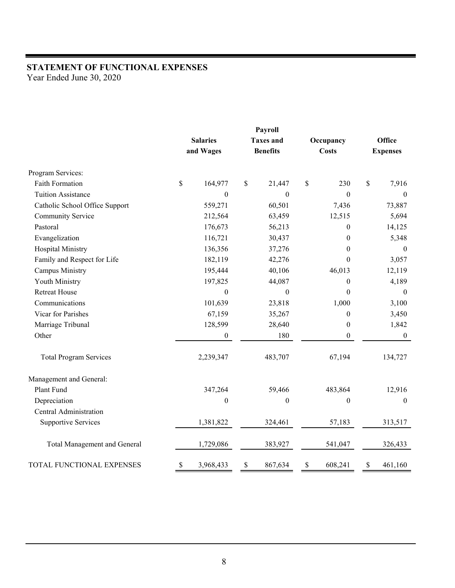## **STATEMENT OF FUNCTIONAL EXPENSES**  Year Ended June 30, 2020

|                                | <b>Payroll</b>  |                  |                  |                  |           |                  |    |                  |
|--------------------------------|-----------------|------------------|------------------|------------------|-----------|------------------|----|------------------|
|                                | <b>Salaries</b> |                  | <b>Taxes and</b> |                  | Occupancy |                  |    | Office           |
|                                |                 | and Wages        |                  | <b>Benefits</b>  |           | <b>Costs</b>     |    | <b>Expenses</b>  |
| Program Services:              |                 |                  |                  |                  |           |                  |    |                  |
| <b>Faith Formation</b>         | $\mathcal{S}$   | 164,977          | \$               | 21,447           | \$        | 230              | \$ | 7,916            |
| <b>Tuition Assistance</b>      |                 | $\boldsymbol{0}$ |                  | $\boldsymbol{0}$ |           | $\boldsymbol{0}$ |    | $\mathbf{0}$     |
| Catholic School Office Support |                 | 559,271          |                  | 60,501           |           | 7,436            |    | 73,887           |
| Community Service              |                 | 212,564          |                  | 63,459           |           | 12,515           |    | 5,694            |
| Pastoral                       |                 | 176,673          |                  | 56,213           |           | $\boldsymbol{0}$ |    | 14,125           |
| Evangelization                 |                 | 116,721          |                  | 30,437           |           | $\theta$         |    | 5,348            |
| <b>Hospital Ministry</b>       |                 | 136,356          |                  | 37,276           |           | $\theta$         |    | $\boldsymbol{0}$ |
| Family and Respect for Life    |                 | 182,119          |                  | 42,276           |           | $\boldsymbol{0}$ |    | 3,057            |
| Campus Ministry                |                 | 195,444          |                  | 40,106           |           | 46,013           |    | 12,119           |
| Youth Ministry                 |                 | 197,825          |                  | 44,087           |           | $\theta$         |    | 4,189            |
| Retreat House                  |                 | $\boldsymbol{0}$ |                  | $\boldsymbol{0}$ |           | $\boldsymbol{0}$ |    | $\boldsymbol{0}$ |
| Communications                 |                 | 101,639          |                  | 23,818           |           | 1,000            |    | 3,100            |
| Vicar for Parishes             |                 | 67,159           |                  | 35,267           |           | $\boldsymbol{0}$ |    | 3,450            |
| Marriage Tribunal              |                 | 128,599          |                  | 28,640           |           | $\mathbf{0}$     |    | 1,842            |
| Other                          |                 | $\boldsymbol{0}$ |                  | 180              |           | $\boldsymbol{0}$ |    | $\boldsymbol{0}$ |
| <b>Total Program Services</b>  |                 | 2,239,347        |                  | 483,707          |           | 67,194           |    | 134,727          |
| Management and General:        |                 |                  |                  |                  |           |                  |    |                  |
| Plant Fund                     |                 | 347,264          |                  | 59,466           |           | 483,864          |    | 12,916           |
| Depreciation                   |                 | $\boldsymbol{0}$ |                  | $\boldsymbol{0}$ |           | $\boldsymbol{0}$ |    | $\boldsymbol{0}$ |
| Central Administration         |                 |                  |                  |                  |           |                  |    |                  |
| <b>Supportive Services</b>     |                 | 1,381,822        |                  | 324,461          |           | 57,183           |    | 313,517          |
| Total Management and General   |                 | 1,729,086        |                  | 383,927          |           | 541,047          |    | 326,433          |
| TOTAL FUNCTIONAL EXPENSES      | \$              | 3,968,433        | \$               | 867,634          | \$        | 608,241          | \$ | 461,160          |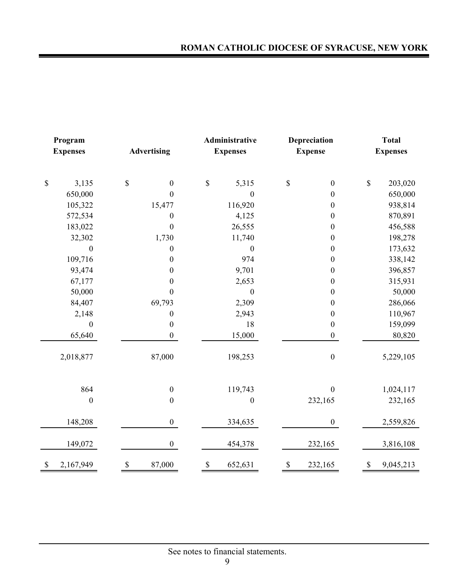|             | Program          |    | Administrative     | Depreciation |                  |    | <b>Total</b>     |    |                 |
|-------------|------------------|----|--------------------|--------------|------------------|----|------------------|----|-----------------|
|             | <b>Expenses</b>  |    | <b>Advertising</b> |              | <b>Expenses</b>  |    | <b>Expense</b>   |    | <b>Expenses</b> |
|             |                  |    |                    |              |                  |    |                  |    |                 |
| $\mathbb S$ | 3,135            | \$ | $\boldsymbol{0}$   | \$           | 5,315            | \$ | $\boldsymbol{0}$ | \$ | 203,020         |
|             | 650,000          |    | $\boldsymbol{0}$   |              | $\boldsymbol{0}$ |    | $\boldsymbol{0}$ |    | 650,000         |
|             | 105,322          |    | 15,477             |              | 116,920          |    | $\boldsymbol{0}$ |    | 938,814         |
|             | 572,534          |    | $\boldsymbol{0}$   |              | 4,125            |    | $\boldsymbol{0}$ |    | 870,891         |
|             | 183,022          |    | $\boldsymbol{0}$   |              | 26,555           |    | $\boldsymbol{0}$ |    | 456,588         |
|             | 32,302           |    | 1,730              |              | 11,740           |    | $\boldsymbol{0}$ |    | 198,278         |
|             | $\boldsymbol{0}$ |    | $\boldsymbol{0}$   |              | $\boldsymbol{0}$ |    | $\boldsymbol{0}$ |    | 173,632         |
|             | 109,716          |    | $\boldsymbol{0}$   |              | 974              |    | $\boldsymbol{0}$ |    | 338,142         |
|             | 93,474           |    | $\boldsymbol{0}$   |              | 9,701            |    | $\boldsymbol{0}$ |    | 396,857         |
|             | 67,177           |    | $\boldsymbol{0}$   |              | 2,653            |    | $\boldsymbol{0}$ |    | 315,931         |
|             | 50,000           |    | $\boldsymbol{0}$   |              | $\boldsymbol{0}$ |    | $\boldsymbol{0}$ |    | 50,000          |
|             | 84,407           |    | 69,793             |              | 2,309            |    | $\boldsymbol{0}$ |    | 286,066         |
|             | 2,148            |    | $\boldsymbol{0}$   |              | 2,943            |    | $\boldsymbol{0}$ |    | 110,967         |
|             | $\boldsymbol{0}$ |    | $\boldsymbol{0}$   |              | 18               |    | $\boldsymbol{0}$ |    | 159,099         |
|             | 65,640           |    | $\boldsymbol{0}$   |              | 15,000           |    | $\boldsymbol{0}$ |    | 80,820          |
|             | 2,018,877        |    | 87,000             |              | 198,253          |    | $\mathbf{0}$     |    | 5,229,105       |
|             | 864              |    | $\boldsymbol{0}$   |              | 119,743          |    | $\boldsymbol{0}$ |    | 1,024,117       |
|             | $\boldsymbol{0}$ |    | $\boldsymbol{0}$   |              | $\boldsymbol{0}$ |    | 232,165          |    | 232,165         |
|             | 148,208          |    | $\boldsymbol{0}$   |              | 334,635          |    | $\boldsymbol{0}$ |    | 2,559,826       |
|             | 149,072          |    | $\overline{0}$     |              | 454,378          |    | 232,165          |    | 3,816,108       |
| \$          | 2,167,949        | \$ | 87,000             | $\$$         | 652,631          | \$ | 232,165          | \$ | 9,045,213       |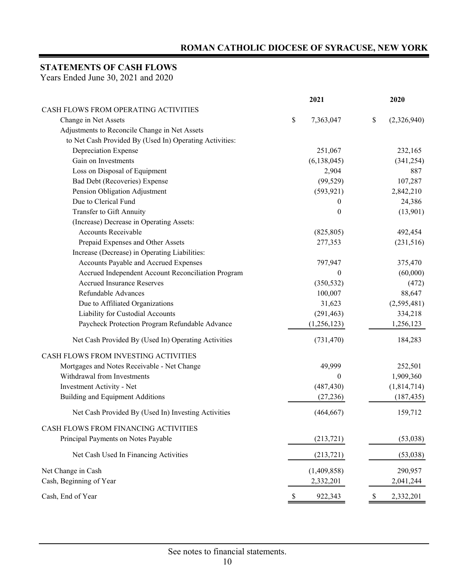## **STATEMENTS OF CASH FLOWS**

Years Ended June 30, 2021 and 2020

|                                                         | 2021             | 2020              |
|---------------------------------------------------------|------------------|-------------------|
| CASH FLOWS FROM OPERATING ACTIVITIES                    |                  |                   |
| Change in Net Assets                                    | \$<br>7,363,047  | \$<br>(2,326,940) |
| Adjustments to Reconcile Change in Net Assets           |                  |                   |
| to Net Cash Provided By (Used In) Operating Activities: |                  |                   |
| <b>Depreciation Expense</b>                             | 251,067          | 232,165           |
| Gain on Investments                                     | (6, 138, 045)    | (341, 254)        |
| Loss on Disposal of Equipment                           | 2,904            | 887               |
| Bad Debt (Recoveries) Expense                           | (99, 529)        | 107,287           |
| Pension Obligation Adjustment                           | (593, 921)       | 2,842,210         |
| Due to Clerical Fund                                    | $\boldsymbol{0}$ | 24,386            |
| Transfer to Gift Annuity                                | $\theta$         | (13,901)          |
| (Increase) Decrease in Operating Assets:                |                  |                   |
| Accounts Receivable                                     | (825, 805)       | 492,454           |
| Prepaid Expenses and Other Assets                       | 277,353          | (231,516)         |
| Increase (Decrease) in Operating Liabilities:           |                  |                   |
| Accounts Payable and Accrued Expenses                   | 797,947          | 375,470           |
| Accrued Independent Account Reconciliation Program      | $\mathbf{0}$     | (60,000)          |
| <b>Accrued Insurance Reserves</b>                       | (350, 532)       | (472)             |
| Refundable Advances                                     | 100,007          | 88,647            |
| Due to Affiliated Organizations                         | 31,623           | (2,595,481)       |
| Liability for Custodial Accounts                        | (291, 463)       | 334,218           |
| Paycheck Protection Program Refundable Advance          | (1,256,123)      | 1,256,123         |
| Net Cash Provided By (Used In) Operating Activities     | (731, 470)       | 184,283           |
| CASH FLOWS FROM INVESTING ACTIVITIES                    |                  |                   |
| Mortgages and Notes Receivable - Net Change             | 49,999           | 252,501           |
| Withdrawal from Investments                             | $\theta$         | 1,909,360         |
| Investment Activity - Net                               | (487, 430)       | (1,814,714)       |
| Building and Equipment Additions                        | (27, 236)        | (187, 435)        |
| Net Cash Provided By (Used In) Investing Activities     | (464, 667)       | 159,712           |
| CASH FLOWS FROM FINANCING ACTIVITIES                    |                  |                   |
| Principal Payments on Notes Payable                     | (213, 721)       | (53,038)          |
| Net Cash Used In Financing Activities                   | (213, 721)       | (53,038)          |
| Net Change in Cash                                      | (1,409,858)      | 290,957           |
| Cash, Beginning of Year                                 | 2,332,201        | 2,041,244         |
| Cash, End of Year                                       | \$<br>922,343    | \$<br>2,332,201   |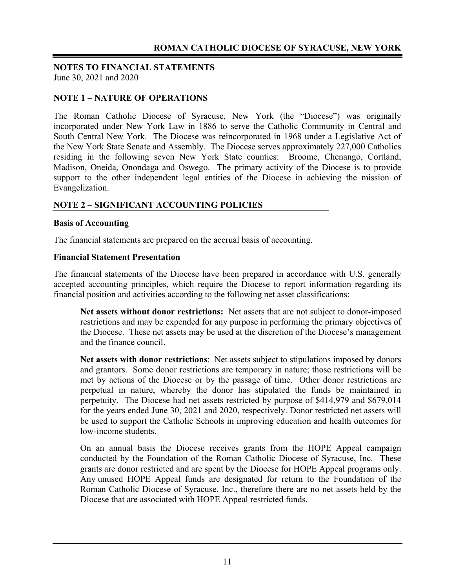#### **NOTE 1 – NATURE OF OPERATIONS**

The Roman Catholic Diocese of Syracuse, New York (the "Diocese") was originally incorporated under New York Law in 1886 to serve the Catholic Community in Central and South Central New York. The Diocese was reincorporated in 1968 under a Legislative Act of the New York State Senate and Assembly. The Diocese serves approximately 227,000 Catholics residing in the following seven New York State counties: Broome, Chenango, Cortland, Madison, Oneida, Onondaga and Oswego. The primary activity of the Diocese is to provide support to the other independent legal entities of the Diocese in achieving the mission of Evangelization.

#### **NOTE 2 – SIGNIFICANT ACCOUNTING POLICIES**

#### **Basis of Accounting**

The financial statements are prepared on the accrual basis of accounting.

#### **Financial Statement Presentation**

The financial statements of the Diocese have been prepared in accordance with U.S. generally accepted accounting principles, which require the Diocese to report information regarding its financial position and activities according to the following net asset classifications:

**Net assets without donor restrictions:** Net assets that are not subject to donor-imposed restrictions and may be expended for any purpose in performing the primary objectives of the Diocese. These net assets may be used at the discretion of the Diocese's management and the finance council.

**Net assets with donor restrictions**: Net assets subject to stipulations imposed by donors and grantors. Some donor restrictions are temporary in nature; those restrictions will be met by actions of the Diocese or by the passage of time. Other donor restrictions are perpetual in nature, whereby the donor has stipulated the funds be maintained in perpetuity. The Diocese had net assets restricted by purpose of \$414,979 and \$679,014 for the years ended June 30, 2021 and 2020, respectively. Donor restricted net assets will be used to support the Catholic Schools in improving education and health outcomes for low-income students.

On an annual basis the Diocese receives grants from the HOPE Appeal campaign conducted by the Foundation of the Roman Catholic Diocese of Syracuse, Inc. These grants are donor restricted and are spent by the Diocese for HOPE Appeal programs only. Any unused HOPE Appeal funds are designated for return to the Foundation of the Roman Catholic Diocese of Syracuse, Inc., therefore there are no net assets held by the Diocese that are associated with HOPE Appeal restricted funds.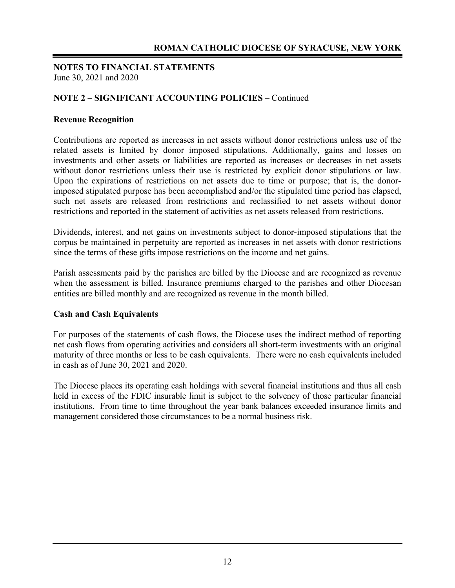#### **NOTE 2 – SIGNIFICANT ACCOUNTING POLICIES** – Continued

#### **Revenue Recognition**

Contributions are reported as increases in net assets without donor restrictions unless use of the related assets is limited by donor imposed stipulations. Additionally, gains and losses on investments and other assets or liabilities are reported as increases or decreases in net assets without donor restrictions unless their use is restricted by explicit donor stipulations or law. Upon the expirations of restrictions on net assets due to time or purpose; that is, the donorimposed stipulated purpose has been accomplished and/or the stipulated time period has elapsed, such net assets are released from restrictions and reclassified to net assets without donor restrictions and reported in the statement of activities as net assets released from restrictions.

Dividends, interest, and net gains on investments subject to donor-imposed stipulations that the corpus be maintained in perpetuity are reported as increases in net assets with donor restrictions since the terms of these gifts impose restrictions on the income and net gains.

Parish assessments paid by the parishes are billed by the Diocese and are recognized as revenue when the assessment is billed. Insurance premiums charged to the parishes and other Diocesan entities are billed monthly and are recognized as revenue in the month billed.

#### **Cash and Cash Equivalents**

For purposes of the statements of cash flows, the Diocese uses the indirect method of reporting net cash flows from operating activities and considers all short-term investments with an original maturity of three months or less to be cash equivalents. There were no cash equivalents included in cash as of June 30, 2021 and 2020.

The Diocese places its operating cash holdings with several financial institutions and thus all cash held in excess of the FDIC insurable limit is subject to the solvency of those particular financial institutions. From time to time throughout the year bank balances exceeded insurance limits and management considered those circumstances to be a normal business risk.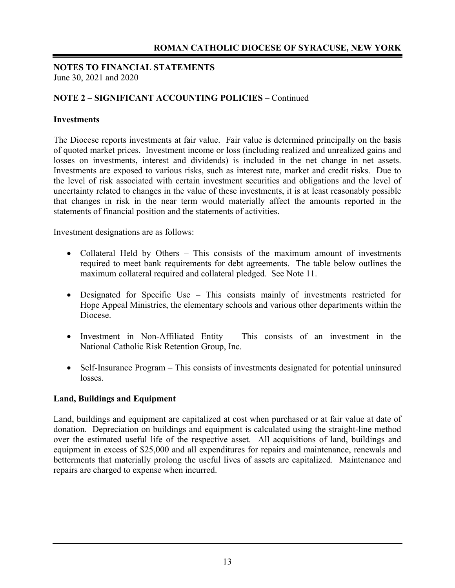#### **ROMAN CATHOLIC DIOCESE OF SYRACUSE, NEW YORK**

#### **NOTES TO FINANCIAL STATEMENTS**  June 30, 2021 and 2020

#### **NOTE 2 – SIGNIFICANT ACCOUNTING POLICIES** – Continued

#### **Investments**

The Diocese reports investments at fair value. Fair value is determined principally on the basis of quoted market prices. Investment income or loss (including realized and unrealized gains and losses on investments, interest and dividends) is included in the net change in net assets. Investments are exposed to various risks, such as interest rate, market and credit risks. Due to the level of risk associated with certain investment securities and obligations and the level of uncertainty related to changes in the value of these investments, it is at least reasonably possible that changes in risk in the near term would materially affect the amounts reported in the statements of financial position and the statements of activities.

Investment designations are as follows:

- Collateral Held by Others This consists of the maximum amount of investments required to meet bank requirements for debt agreements. The table below outlines the maximum collateral required and collateral pledged. See Note 11.
- Designated for Specific Use This consists mainly of investments restricted for Hope Appeal Ministries, the elementary schools and various other departments within the Diocese.
- Investment in Non-Affiliated Entity This consists of an investment in the National Catholic Risk Retention Group, Inc.
- Self-Insurance Program This consists of investments designated for potential uninsured losses.

#### **Land, Buildings and Equipment**

Land, buildings and equipment are capitalized at cost when purchased or at fair value at date of donation. Depreciation on buildings and equipment is calculated using the straight-line method over the estimated useful life of the respective asset. All acquisitions of land, buildings and equipment in excess of \$25,000 and all expenditures for repairs and maintenance, renewals and betterments that materially prolong the useful lives of assets are capitalized. Maintenance and repairs are charged to expense when incurred.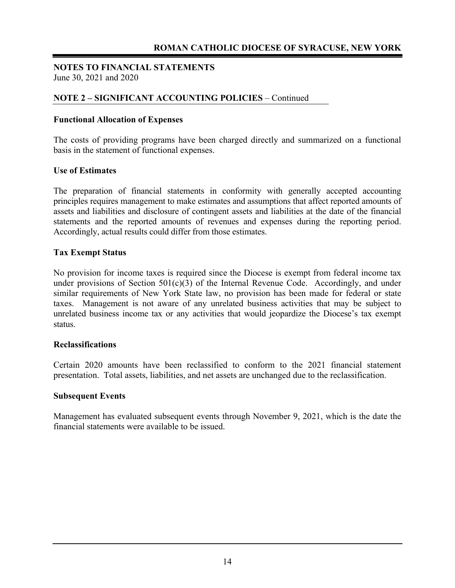#### **NOTE 2 – SIGNIFICANT ACCOUNTING POLICIES** – Continued

#### **Functional Allocation of Expenses**

The costs of providing programs have been charged directly and summarized on a functional basis in the statement of functional expenses.

#### **Use of Estimates**

The preparation of financial statements in conformity with generally accepted accounting principles requires management to make estimates and assumptions that affect reported amounts of assets and liabilities and disclosure of contingent assets and liabilities at the date of the financial statements and the reported amounts of revenues and expenses during the reporting period. Accordingly, actual results could differ from those estimates.

#### **Tax Exempt Status**

No provision for income taxes is required since the Diocese is exempt from federal income tax under provisions of Section  $501(c)(3)$  of the Internal Revenue Code. Accordingly, and under similar requirements of New York State law, no provision has been made for federal or state taxes. Management is not aware of any unrelated business activities that may be subject to unrelated business income tax or any activities that would jeopardize the Diocese's tax exempt status.

#### **Reclassifications**

Certain 2020 amounts have been reclassified to conform to the 2021 financial statement presentation. Total assets, liabilities, and net assets are unchanged due to the reclassification.

#### **Subsequent Events**

Management has evaluated subsequent events through November 9, 2021, which is the date the financial statements were available to be issued.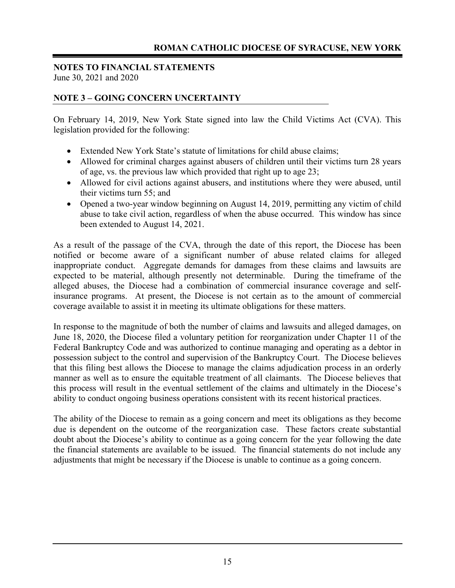#### **ROMAN CATHOLIC DIOCESE OF SYRACUSE, NEW YORK**

#### **NOTES TO FINANCIAL STATEMENTS**  June 30, 2021 and 2020

#### **NOTE 3 – GOING CONCERN UNCERTAINTY**

On February 14, 2019, New York State signed into law the Child Victims Act (CVA). This legislation provided for the following:

- Extended New York State's statute of limitations for child abuse claims;
- Allowed for criminal charges against abusers of children until their victims turn 28 years of age, vs. the previous law which provided that right up to age 23;
- Allowed for civil actions against abusers, and institutions where they were abused, until their victims turn 55; and
- Opened a two-year window beginning on August 14, 2019, permitting any victim of child abuse to take civil action, regardless of when the abuse occurred. This window has since been extended to August 14, 2021.

As a result of the passage of the CVA, through the date of this report, the Diocese has been notified or become aware of a significant number of abuse related claims for alleged inappropriate conduct. Aggregate demands for damages from these claims and lawsuits are expected to be material, although presently not determinable. During the timeframe of the alleged abuses, the Diocese had a combination of commercial insurance coverage and selfinsurance programs. At present, the Diocese is not certain as to the amount of commercial coverage available to assist it in meeting its ultimate obligations for these matters.

In response to the magnitude of both the number of claims and lawsuits and alleged damages, on June 18, 2020, the Diocese filed a voluntary petition for reorganization under Chapter 11 of the Federal Bankruptcy Code and was authorized to continue managing and operating as a debtor in possession subject to the control and supervision of the Bankruptcy Court. The Diocese believes that this filing best allows the Diocese to manage the claims adjudication process in an orderly manner as well as to ensure the equitable treatment of all claimants. The Diocese believes that this process will result in the eventual settlement of the claims and ultimately in the Diocese's ability to conduct ongoing business operations consistent with its recent historical practices.

The ability of the Diocese to remain as a going concern and meet its obligations as they become due is dependent on the outcome of the reorganization case. These factors create substantial doubt about the Diocese's ability to continue as a going concern for the year following the date the financial statements are available to be issued. The financial statements do not include any adjustments that might be necessary if the Diocese is unable to continue as a going concern.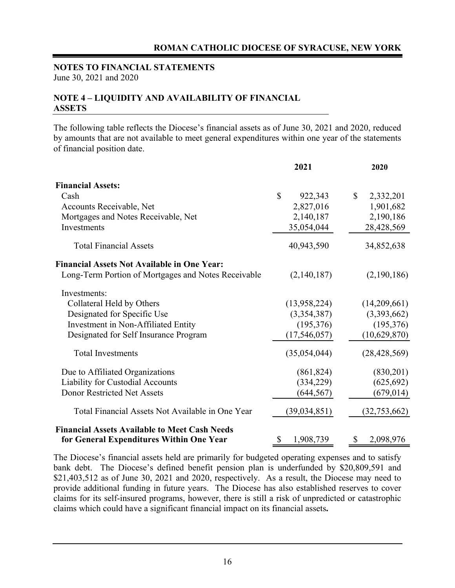#### **NOTE 4 – LIQUIDITY AND AVAILABILITY OF FINANCIAL ASSETS**

The following table reflects the Diocese's financial assets as of June 30, 2021 and 2020, reduced by amounts that are not available to meet general expenditures within one year of the statements of financial position date.

|                                                                                                  | 2021            | 2020                      |  |  |
|--------------------------------------------------------------------------------------------------|-----------------|---------------------------|--|--|
| <b>Financial Assets:</b>                                                                         |                 |                           |  |  |
| Cash                                                                                             | \$<br>922,343   | $\mathbb{S}$<br>2,332,201 |  |  |
| Accounts Receivable, Net                                                                         | 2,827,016       | 1,901,682                 |  |  |
| Mortgages and Notes Receivable, Net                                                              | 2,140,187       | 2,190,186                 |  |  |
| Investments                                                                                      | 35,054,044      | 28,428,569                |  |  |
| <b>Total Financial Assets</b>                                                                    | 40,943,590      | 34,852,638                |  |  |
| <b>Financial Assets Not Available in One Year:</b>                                               |                 |                           |  |  |
| Long-Term Portion of Mortgages and Notes Receivable                                              | (2,140,187)     | (2,190,186)               |  |  |
| Investments:                                                                                     |                 |                           |  |  |
| Collateral Held by Others                                                                        | (13,958,224)    | (14,209,661)              |  |  |
| Designated for Specific Use                                                                      | (3,354,387)     | (3,393,662)               |  |  |
| Investment in Non-Affiliated Entity                                                              | (195,376)       | (195,376)                 |  |  |
| Designated for Self Insurance Program                                                            | (17, 546, 057)  | (10,629,870)              |  |  |
| <b>Total Investments</b>                                                                         | (35,054,044)    | (28, 428, 569)            |  |  |
| Due to Affiliated Organizations                                                                  | (861, 824)      | (830,201)                 |  |  |
| Liability for Custodial Accounts                                                                 | (334, 229)      | (625, 692)                |  |  |
| Donor Restricted Net Assets                                                                      | (644, 567)      | (679, 014)                |  |  |
| Total Financial Assets Not Available in One Year                                                 | (39, 034, 851)  | (32, 753, 662)            |  |  |
| <b>Financial Assets Available to Meet Cash Needs</b><br>for General Expenditures Within One Year | \$<br>1,908,739 | \$<br>2,098,976           |  |  |

The Diocese's financial assets held are primarily for budgeted operating expenses and to satisfy bank debt. The Diocese's defined benefit pension plan is underfunded by \$20,809,591 and \$21,403,512 as of June 30, 2021 and 2020, respectively. As a result, the Diocese may need to provide additional funding in future years. The Diocese has also established reserves to cover claims for its self-insured programs, however, there is still a risk of unpredicted or catastrophic claims which could have a significant financial impact on its financial assets**.**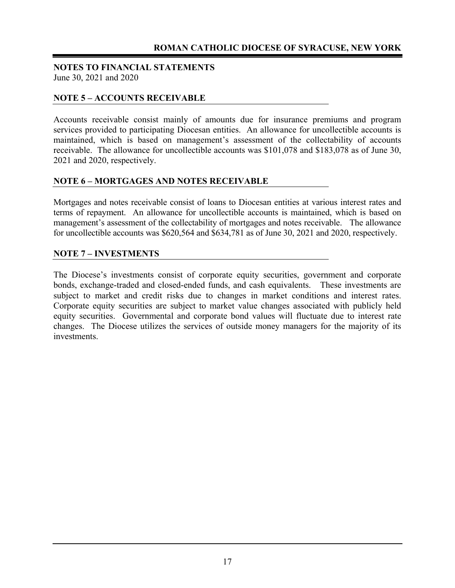#### **NOTE 5 – ACCOUNTS RECEIVABLE**

Accounts receivable consist mainly of amounts due for insurance premiums and program services provided to participating Diocesan entities. An allowance for uncollectible accounts is maintained, which is based on management's assessment of the collectability of accounts receivable. The allowance for uncollectible accounts was \$101,078 and \$183,078 as of June 30, 2021 and 2020, respectively.

#### **NOTE 6 – MORTGAGES AND NOTES RECEIVABLE**

Mortgages and notes receivable consist of loans to Diocesan entities at various interest rates and terms of repayment. An allowance for uncollectible accounts is maintained, which is based on management's assessment of the collectability of mortgages and notes receivable. The allowance for uncollectible accounts was \$620,564 and \$634,781 as of June 30, 2021 and 2020, respectively.

#### **NOTE 7 – INVESTMENTS**

The Diocese's investments consist of corporate equity securities, government and corporate bonds, exchange-traded and closed-ended funds, and cash equivalents. These investments are subject to market and credit risks due to changes in market conditions and interest rates. Corporate equity securities are subject to market value changes associated with publicly held equity securities. Governmental and corporate bond values will fluctuate due to interest rate changes. The Diocese utilizes the services of outside money managers for the majority of its investments.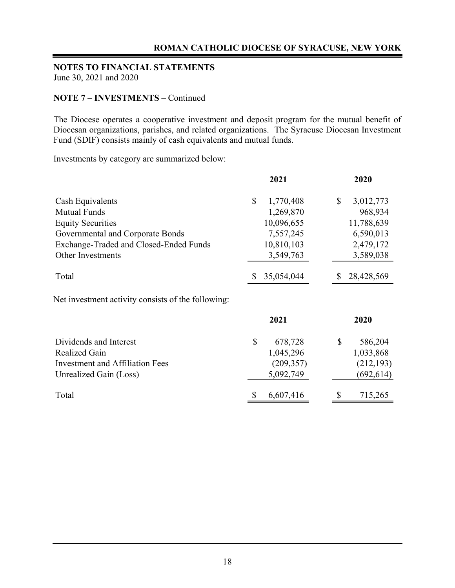## **NOTES TO FINANCIAL STATEMENTS**

June 30, 2021 and 2020

## **NOTE 7 – INVESTMENTS** – Continued

The Diocese operates a cooperative investment and deposit program for the mutual benefit of Diocesan organizations, parishes, and related organizations. The Syracuse Diocesan Investment Fund (SDIF) consists mainly of cash equivalents and mutual funds.

Investments by category are summarized below:

|                                                    |              | 2021       |              | 2020       |
|----------------------------------------------------|--------------|------------|--------------|------------|
| Cash Equivalents                                   | $\mathbb{S}$ | 1,770,408  | $\mathbb{S}$ | 3,012,773  |
| <b>Mutual Funds</b>                                |              | 1,269,870  |              | 968,934    |
| <b>Equity Securities</b>                           |              | 10,096,655 |              | 11,788,639 |
| Governmental and Corporate Bonds                   |              | 7,557,245  |              | 6,590,013  |
| Exchange-Traded and Closed-Ended Funds             |              | 10,810,103 |              | 2,479,172  |
| Other Investments                                  |              | 3,549,763  |              | 3,589,038  |
| Total                                              |              | 35,054,044 |              | 28,428,569 |
| Net investment activity consists of the following: |              |            |              |            |
|                                                    |              | 2021       |              | 2020       |
| Dividends and Interest                             | \$           | 678,728    | \$           | 586,204    |
| <b>Realized Gain</b>                               |              | 1,045,296  |              | 1,033,868  |
| <b>Investment and Affiliation Fees</b>             |              | (209, 357) |              | (212, 193) |
| Unrealized Gain (Loss)                             |              | 5,092,749  |              | (692, 614) |
| Total                                              |              | 6,607,416  |              | 715,265    |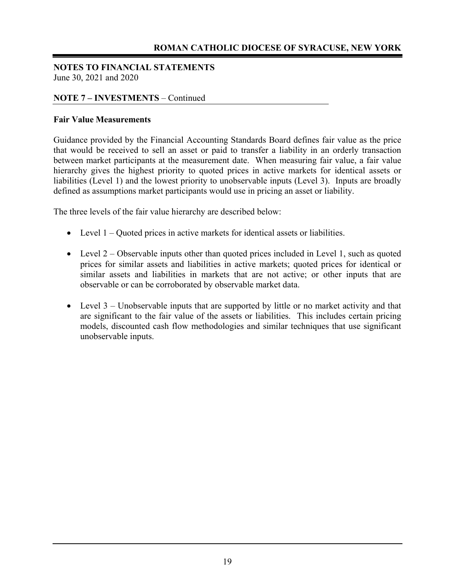#### **ROMAN CATHOLIC DIOCESE OF SYRACUSE, NEW YORK**

#### **NOTES TO FINANCIAL STATEMENTS**  June 30, 2021 and 2020

#### **NOTE 7 – INVESTMENTS** – Continued

#### **Fair Value Measurements**

Guidance provided by the Financial Accounting Standards Board defines fair value as the price that would be received to sell an asset or paid to transfer a liability in an orderly transaction between market participants at the measurement date. When measuring fair value, a fair value hierarchy gives the highest priority to quoted prices in active markets for identical assets or liabilities (Level 1) and the lowest priority to unobservable inputs (Level 3). Inputs are broadly defined as assumptions market participants would use in pricing an asset or liability.

The three levels of the fair value hierarchy are described below:

- Level 1 Quoted prices in active markets for identical assets or liabilities.
- Level  $2$  Observable inputs other than quoted prices included in Level 1, such as quoted prices for similar assets and liabilities in active markets; quoted prices for identical or similar assets and liabilities in markets that are not active; or other inputs that are observable or can be corroborated by observable market data.
- Level 3 Unobservable inputs that are supported by little or no market activity and that are significant to the fair value of the assets or liabilities. This includes certain pricing models, discounted cash flow methodologies and similar techniques that use significant unobservable inputs.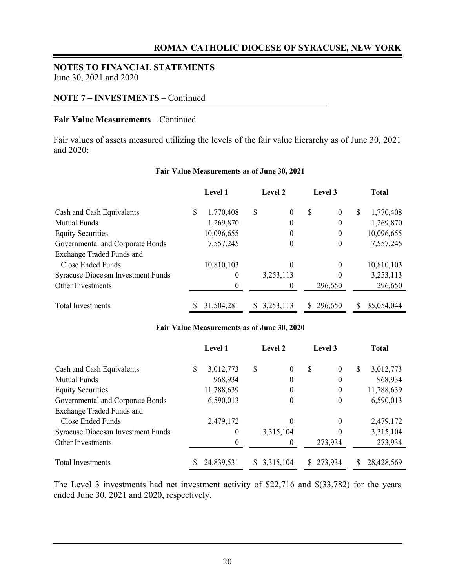## **NOTES TO FINANCIAL STATEMENTS**

June 30, 2021 and 2020

#### **NOTE 7 – INVESTMENTS** – Continued

#### **Fair Value Measurements** – Continued

Fair values of assets measured utilizing the levels of the fair value hierarchy as of June 30, 2021 and 2020:

|                                           |    | <b>Level 1</b> |    | Level 2   |    | Level 3  |    | <b>Total</b> |  |
|-------------------------------------------|----|----------------|----|-----------|----|----------|----|--------------|--|
| Cash and Cash Equivalents                 | \$ | 1,770,408      | \$ | 0         | S  | $\theta$ | \$ | 1,770,408    |  |
| Mutual Funds                              |    | 1,269,870      |    | 0         |    | $\theta$ |    | 1,269,870    |  |
| <b>Equity Securities</b>                  |    | 10,096,655     |    | 0         |    | $\theta$ |    | 10,096,655   |  |
| Governmental and Corporate Bonds          |    | 7,557,245      |    | 0         |    | $\theta$ |    | 7,557,245    |  |
| <b>Exchange Traded Funds and</b>          |    |                |    |           |    |          |    |              |  |
| Close Ended Funds                         |    | 10,810,103     |    | 0         |    | $\theta$ |    | 10,810,103   |  |
| <b>Syracuse Diocesan Investment Funds</b> |    | $\theta$       |    | 3,253,113 |    | $\theta$ |    | 3,253,113    |  |
| Other Investments                         |    | $\Omega$       |    | $\theta$  |    | 296,650  |    | 296,650      |  |
| <b>Total Investments</b>                  |    | 31,504,281     | S. | 3,253,113 | S. | 296,650  | S  | 35,054,044   |  |

#### **Fair Value Measurements as of June 30, 2021**

#### **Fair Value Measurements as of June 30, 2020**

|                                           | Level 1         | Level 2          |    | Level 3  |   | <b>Total</b> |
|-------------------------------------------|-----------------|------------------|----|----------|---|--------------|
| Cash and Cash Equivalents                 | \$<br>3,012,773 | \$<br>$\theta$   | \$ | $\theta$ | S | 3,012,773    |
| <b>Mutual Funds</b>                       | 968,934         | $\boldsymbol{0}$ |    | $\theta$ |   | 968,934      |
| <b>Equity Securities</b>                  | 11,788,639      | $\boldsymbol{0}$ |    | $\theta$ |   | 11,788,639   |
| Governmental and Corporate Bonds          | 6,590,013       | $\theta$         |    | $\theta$ |   | 6,590,013    |
| <b>Exchange Traded Funds and</b>          |                 |                  |    |          |   |              |
| Close Ended Funds                         | 2,479,172       | $\theta$         |    | $\theta$ |   | 2,479,172    |
| <b>Syracuse Diocesan Investment Funds</b> | $\theta$        | 3,315,104        |    | $\theta$ |   | 3,315,104    |
| Other Investments                         |                 | $\theta$         |    | 273,934  |   | 273,934      |
| <b>Total Investments</b>                  | 24,839,531      | 3,315,104        | S  | 273,934  |   | 28,428,569   |

The Level 3 investments had net investment activity of \$22,716 and \$(33,782) for the years ended June 30, 2021 and 2020, respectively.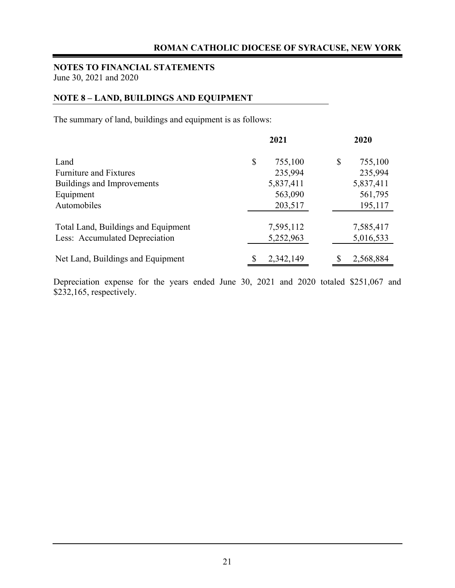## **NOTES TO FINANCIAL STATEMENTS**

June 30, 2021 and 2020

#### **NOTE 8 – LAND, BUILDINGS AND EQUIPMENT**

The summary of land, buildings and equipment is as follows:

|                                     | 2021          | 2020          |
|-------------------------------------|---------------|---------------|
| Land                                | \$<br>755,100 | \$<br>755,100 |
| <b>Furniture and Fixtures</b>       | 235,994       | 235,994       |
| Buildings and Improvements          | 5,837,411     | 5,837,411     |
| Equipment                           | 563,090       | 561,795       |
| Automobiles                         | 203,517       | 195,117       |
| Total Land, Buildings and Equipment | 7,595,112     | 7,585,417     |
| Less: Accumulated Depreciation      | 5,252,963     | 5,016,533     |
| Net Land, Buildings and Equipment   | 2,342,149     | 2,568,884     |

Depreciation expense for the years ended June 30, 2021 and 2020 totaled \$251,067 and \$232,165, respectively.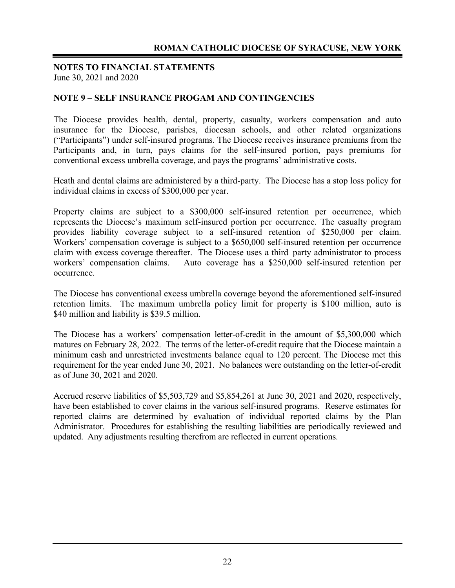#### **NOTE 9 – SELF INSURANCE PROGAM AND CONTINGENCIES**

The Diocese provides health, dental, property, casualty, workers compensation and auto insurance for the Diocese, parishes, diocesan schools, and other related organizations ("Participants") under self-insured programs. The Diocese receives insurance premiums from the Participants and, in turn, pays claims for the self-insured portion, pays premiums for conventional excess umbrella coverage, and pays the programs' administrative costs.

Heath and dental claims are administered by a third-party. The Diocese has a stop loss policy for individual claims in excess of \$300,000 per year.

Property claims are subject to a \$300,000 self-insured retention per occurrence, which represents the Diocese's maximum self-insured portion per occurrence. The casualty program provides liability coverage subject to a self-insured retention of \$250,000 per claim. Workers' compensation coverage is subject to a \$650,000 self-insured retention per occurrence claim with excess coverage thereafter. The Diocese uses a third–party administrator to process workers' compensation claims. Auto coverage has a \$250,000 self-insured retention per occurrence.

The Diocese has conventional excess umbrella coverage beyond the aforementioned self-insured retention limits. The maximum umbrella policy limit for property is \$100 million, auto is \$40 million and liability is \$39.5 million.

The Diocese has a workers' compensation letter-of-credit in the amount of \$5,300,000 which matures on February 28, 2022. The terms of the letter-of-credit require that the Diocese maintain a minimum cash and unrestricted investments balance equal to 120 percent. The Diocese met this requirement for the year ended June 30, 2021. No balances were outstanding on the letter-of-credit as of June 30, 2021 and 2020.

Accrued reserve liabilities of \$5,503,729 and \$5,854,261 at June 30, 2021 and 2020, respectively, have been established to cover claims in the various self-insured programs. Reserve estimates for reported claims are determined by evaluation of individual reported claims by the Plan Administrator. Procedures for establishing the resulting liabilities are periodically reviewed and updated. Any adjustments resulting therefrom are reflected in current operations.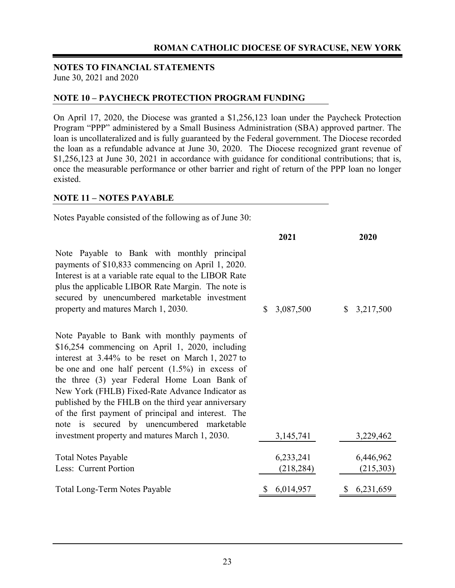#### **NOTE 10 – PAYCHECK PROTECTION PROGRAM FUNDING**

On April 17, 2020, the Diocese was granted a \$1,256,123 loan under the Paycheck Protection Program "PPP" administered by a Small Business Administration (SBA) approved partner. The loan is uncollateralized and is fully guaranteed by the Federal government. The Diocese recorded the loan as a refundable advance at June 30, 2020. The Diocese recognized grant revenue of \$1,256,123 at June 30, 2021 in accordance with guidance for conditional contributions; that is, once the measurable performance or other barrier and right of return of the PPP loan no longer existed.

#### **NOTE 11 – NOTES PAYABLE**

Notes Payable consisted of the following as of June 30:

|                                                                                                                                                                                                                                                                                                                                                                                                                                                                                                                              | 2021                       | 2020                        |
|------------------------------------------------------------------------------------------------------------------------------------------------------------------------------------------------------------------------------------------------------------------------------------------------------------------------------------------------------------------------------------------------------------------------------------------------------------------------------------------------------------------------------|----------------------------|-----------------------------|
| Note Payable to Bank with monthly principal<br>payments of \$10,833 commencing on April 1, 2020.<br>Interest is at a variable rate equal to the LIBOR Rate<br>plus the applicable LIBOR Rate Margin. The note is<br>secured by unencumbered marketable investment<br>property and matures March 1, 2030.                                                                                                                                                                                                                     | $\mathcal{S}$<br>3,087,500 | $\mathbb{S}^-$<br>3,217,500 |
| Note Payable to Bank with monthly payments of<br>\$16,254 commencing on April 1, 2020, including<br>interest at 3.44% to be reset on March 1, 2027 to<br>be one and one half percent $(1.5\%)$ in excess of<br>the three (3) year Federal Home Loan Bank of<br>New York (FHLB) Fixed-Rate Advance Indicator as<br>published by the FHLB on the third year anniversary<br>of the first payment of principal and interest. The<br>note is secured by unencumbered marketable<br>investment property and matures March 1, 2030. | 3, 145, 741                | 3,229,462                   |
| <b>Total Notes Payable</b>                                                                                                                                                                                                                                                                                                                                                                                                                                                                                                   | 6,233,241                  | 6,446,962                   |
| Less: Current Portion                                                                                                                                                                                                                                                                                                                                                                                                                                                                                                        | (218, 284)                 | (215,303)                   |
| Total Long-Term Notes Payable                                                                                                                                                                                                                                                                                                                                                                                                                                                                                                | 6,014,957                  | 6,231,659                   |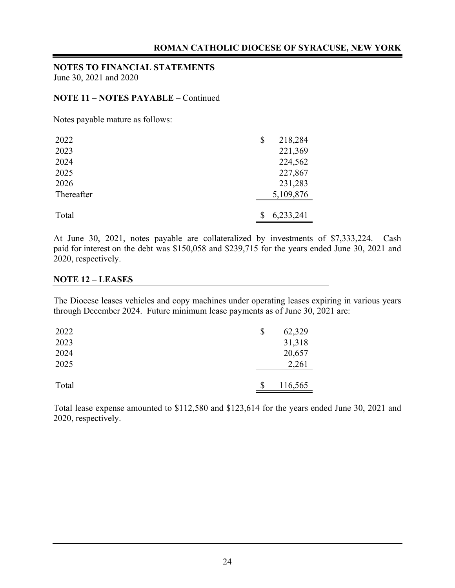#### **ROMAN CATHOLIC DIOCESE OF SYRACUSE, NEW YORK**

## **NOTES TO FINANCIAL STATEMENTS**

June 30, 2021 and 2020

#### **NOTE 11 – NOTES PAYABLE** – Continued

Notes payable mature as follows:

| 2022       | 218,284<br>\$ |  |
|------------|---------------|--|
| 2023       | 221,369       |  |
| 2024       | 224,562       |  |
| 2025       | 227,867       |  |
| 2026       | 231,283       |  |
| Thereafter | 5,109,876     |  |
|            |               |  |
| Total      | 6,233,241     |  |

At June 30, 2021, notes payable are collateralized by investments of \$7,333,224. Cash paid for interest on the debt was \$150,058 and \$239,715 for the years ended June 30, 2021 and 2020, respectively.

#### **NOTE 12 – LEASES**

The Diocese leases vehicles and copy machines under operating leases expiring in various years through December 2024. Future minimum lease payments as of June 30, 2021 are:

| 2022  | \$ | 62,329  |
|-------|----|---------|
| 2023  |    | 31,318  |
| 2024  |    | 20,657  |
| 2025  |    | 2,261   |
|       |    |         |
| Total | \$ | 116,565 |

Total lease expense amounted to \$112,580 and \$123,614 for the years ended June 30, 2021 and 2020, respectively.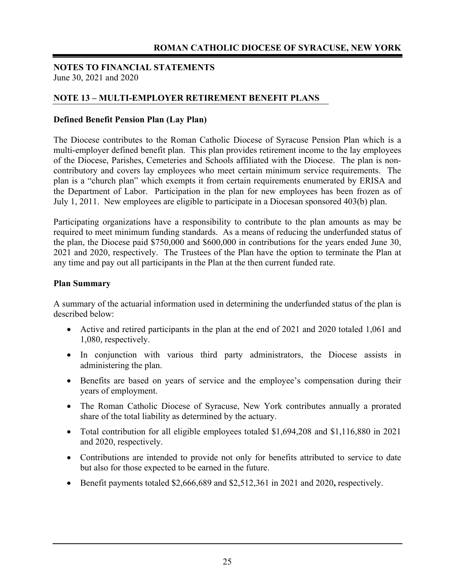#### **NOTE 13 – MULTI-EMPLOYER RETIREMENT BENEFIT PLANS**

#### **Defined Benefit Pension Plan (Lay Plan)**

The Diocese contributes to the Roman Catholic Diocese of Syracuse Pension Plan which is a multi-employer defined benefit plan. This plan provides retirement income to the lay employees of the Diocese, Parishes, Cemeteries and Schools affiliated with the Diocese. The plan is noncontributory and covers lay employees who meet certain minimum service requirements. The plan is a "church plan" which exempts it from certain requirements enumerated by ERISA and the Department of Labor. Participation in the plan for new employees has been frozen as of July 1, 2011. New employees are eligible to participate in a Diocesan sponsored 403(b) plan.

Participating organizations have a responsibility to contribute to the plan amounts as may be required to meet minimum funding standards. As a means of reducing the underfunded status of the plan, the Diocese paid \$750,000 and \$600,000 in contributions for the years ended June 30, 2021 and 2020, respectively. The Trustees of the Plan have the option to terminate the Plan at any time and pay out all participants in the Plan at the then current funded rate.

#### **Plan Summary**

A summary of the actuarial information used in determining the underfunded status of the plan is described below:

- Active and retired participants in the plan at the end of 2021 and 2020 totaled 1,061 and 1,080, respectively.
- In conjunction with various third party administrators, the Diocese assists in administering the plan.
- Benefits are based on years of service and the employee's compensation during their years of employment.
- The Roman Catholic Diocese of Syracuse, New York contributes annually a prorated share of the total liability as determined by the actuary.
- Total contribution for all eligible employees totaled \$1,694,208 and \$1,116,880 in 2021 and 2020, respectively.
- Contributions are intended to provide not only for benefits attributed to service to date but also for those expected to be earned in the future.
- Benefit payments totaled \$2,666,689 and \$2,512,361 in 2021 and 2020**,** respectively.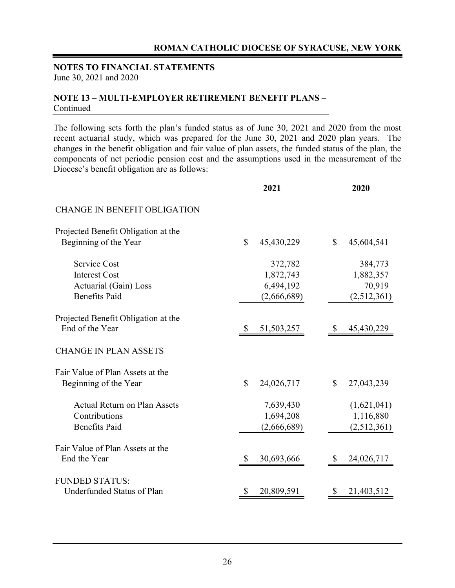#### **ROMAN CATHOLIC DIOCESE OF SYRACUSE, NEW YORK**

#### **NOTES TO FINANCIAL STATEMENTS**  June 30, 2021 and 2020

#### **NOTE 13 – MULTI-EMPLOYER RETIREMENT BENEFIT PLANS** – Continued

The following sets forth the plan's funded status as of June 30, 2021 and 2020 from the most recent actuarial study, which was prepared for the June 30, 2021 and 2020 plan years. The changes in the benefit obligation and fair value of plan assets, the funded status of the plan, the components of net periodic pension cost and the assumptions used in the measurement of the Diocese's benefit obligation are as follows:

|                                                     | 2021                                    | 2020                       |
|-----------------------------------------------------|-----------------------------------------|----------------------------|
| <b>CHANGE IN BENEFIT OBLIGATION</b>                 |                                         |                            |
| Projected Benefit Obligation at the                 |                                         |                            |
| Beginning of the Year                               | \$<br>45,430,229                        | \$<br>45,604,541           |
| Service Cost                                        | 372,782                                 | 384,773                    |
| <b>Interest Cost</b>                                | 1,872,743                               | 1,882,357                  |
| Actuarial (Gain) Loss                               | 6,494,192                               | 70,919                     |
| <b>Benefits Paid</b>                                | (2,666,689)                             | (2,512,361)                |
| Projected Benefit Obligation at the                 |                                         |                            |
| End of the Year                                     | 51,503,257<br><sup>\$</sup>             | 45,430,229<br>\$           |
| <b>CHANGE IN PLAN ASSETS</b>                        |                                         |                            |
| Fair Value of Plan Assets at the                    |                                         |                            |
| Beginning of the Year                               | $\mathbb{S}$<br>24,026,717              | $\mathbb{S}$<br>27,043,239 |
| <b>Actual Return on Plan Assets</b>                 | 7,639,430                               | (1,621,041)                |
| Contributions                                       | 1,694,208                               | 1,116,880                  |
| <b>Benefits Paid</b>                                | (2,666,689)                             | (2,512,361)                |
|                                                     |                                         |                            |
| Fair Value of Plan Assets at the<br>End the Year    | 30,693,666<br><sup>8</sup>              | 24,026,717<br>\$           |
|                                                     |                                         |                            |
| <b>FUNDED STATUS:</b><br>Underfunded Status of Plan | $\boldsymbol{\mathsf{S}}$<br>20,809,591 | 21,403,512<br>\$           |
|                                                     |                                         |                            |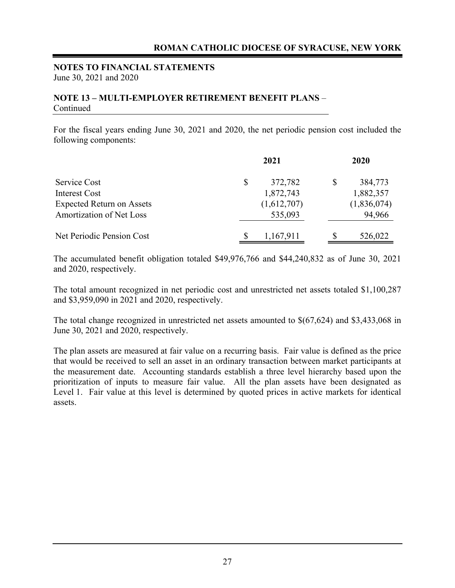#### **NOTE 13 – MULTI-EMPLOYER RETIREMENT BENEFIT PLANS** – Continued

For the fiscal years ending June 30, 2021 and 2020, the net periodic pension cost included the following components:

|                                  | 2021 |             |   | 2020        |  |  |
|----------------------------------|------|-------------|---|-------------|--|--|
| Service Cost                     | \$   | 372,782     | S | 384,773     |  |  |
| <b>Interest Cost</b>             |      | 1,872,743   |   | 1,882,357   |  |  |
| <b>Expected Return on Assets</b> |      | (1,612,707) |   | (1,836,074) |  |  |
| <b>Amortization of Net Loss</b>  |      | 535,093     |   | 94,966      |  |  |
| Net Periodic Pension Cost        |      | 1,167,911   |   | 526,022     |  |  |

The accumulated benefit obligation totaled \$49,976,766 and \$44,240,832 as of June 30, 2021 and 2020, respectively.

The total amount recognized in net periodic cost and unrestricted net assets totaled \$1,100,287 and \$3,959,090 in 2021 and 2020, respectively.

The total change recognized in unrestricted net assets amounted to \$(67,624) and \$3,433,068 in June 30, 2021 and 2020, respectively.

The plan assets are measured at fair value on a recurring basis. Fair value is defined as the price that would be received to sell an asset in an ordinary transaction between market participants at the measurement date. Accounting standards establish a three level hierarchy based upon the prioritization of inputs to measure fair value. All the plan assets have been designated as Level 1. Fair value at this level is determined by quoted prices in active markets for identical assets.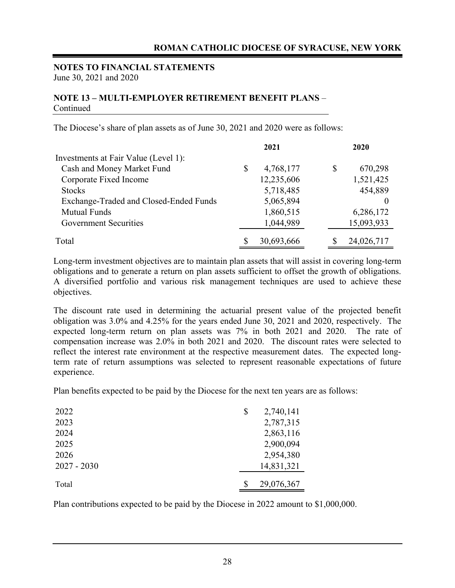#### **NOTE 13 – MULTI-EMPLOYER RETIREMENT BENEFIT PLANS** – **Continued**

The Diocese's share of plan assets as of June 30, 2021 and 2020 were as follows:

|                                        | 2021            |    | 2020       |
|----------------------------------------|-----------------|----|------------|
| Investments at Fair Value (Level 1):   |                 |    |            |
| Cash and Money Market Fund             | \$<br>4,768,177 | \$ | 670,298    |
| Corporate Fixed Income                 | 12,235,606      |    | 1,521,425  |
| <b>Stocks</b>                          | 5,718,485       |    | 454,889    |
| Exchange-Traded and Closed-Ended Funds | 5,065,894       |    |            |
| <b>Mutual Funds</b>                    | 1,860,515       |    | 6,286,172  |
| <b>Government Securities</b>           | 1,044,989       |    | 15,093,933 |
| Total                                  | 30,693,666      |    | 24,026,717 |

Long-term investment objectives are to maintain plan assets that will assist in covering long-term obligations and to generate a return on plan assets sufficient to offset the growth of obligations. A diversified portfolio and various risk management techniques are used to achieve these objectives.

The discount rate used in determining the actuarial present value of the projected benefit obligation was 3.0% and 4.25% for the years ended June 30, 2021 and 2020, respectively. The expected long-term return on plan assets was 7% in both 2021 and 2020. The rate of compensation increase was 2.0% in both 2021 and 2020. The discount rates were selected to reflect the interest rate environment at the respective measurement dates. The expected longterm rate of return assumptions was selected to represent reasonable expectations of future experience.

Plan benefits expected to be paid by the Diocese for the next ten years are as follows:

| 2022          | \$<br>2,740,141 |
|---------------|-----------------|
| 2023          | 2,787,315       |
| 2024          | 2,863,116       |
| 2025          | 2,900,094       |
| 2026          | 2,954,380       |
| $2027 - 2030$ | 14,831,321      |
| Total         | 29,076,367      |

Plan contributions expected to be paid by the Diocese in 2022 amount to \$1,000,000.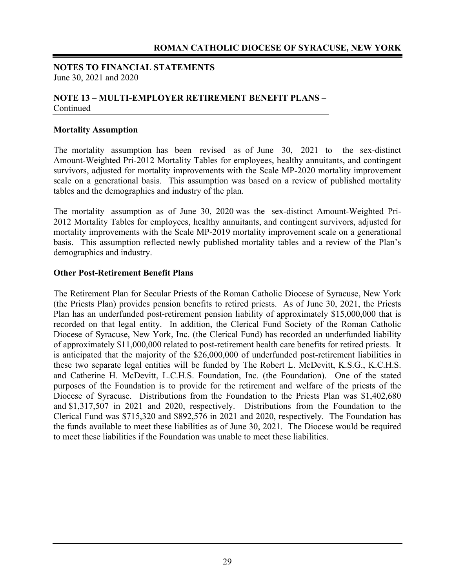#### **NOTE 13 – MULTI-EMPLOYER RETIREMENT BENEFIT PLANS** – **Continued**

#### **Mortality Assumption**

The mortality assumption has been revised as of June 30, 2021 to the sex-distinct Amount-Weighted Pri-2012 Mortality Tables for employees, healthy annuitants, and contingent survivors, adjusted for mortality improvements with the Scale MP-2020 mortality improvement scale on a generational basis. This assumption was based on a review of published mortality tables and the demographics and industry of the plan.

The mortality assumption as of June 30, 2020 was the sex-distinct Amount-Weighted Pri-2012 Mortality Tables for employees, healthy annuitants, and contingent survivors, adjusted for mortality improvements with the Scale MP-2019 mortality improvement scale on a generational basis. This assumption reflected newly published mortality tables and a review of the Plan's demographics and industry.

#### **Other Post-Retirement Benefit Plans**

The Retirement Plan for Secular Priests of the Roman Catholic Diocese of Syracuse, New York (the Priests Plan) provides pension benefits to retired priests. As of June 30, 2021, the Priests Plan has an underfunded post-retirement pension liability of approximately \$15,000,000 that is recorded on that legal entity. In addition, the Clerical Fund Society of the Roman Catholic Diocese of Syracuse, New York, Inc. (the Clerical Fund) has recorded an underfunded liability of approximately \$11,000,000 related to post-retirement health care benefits for retired priests. It is anticipated that the majority of the \$26,000,000 of underfunded post-retirement liabilities in these two separate legal entities will be funded by The Robert L. McDevitt, K.S.G., K.C.H.S. and Catherine H. McDevitt, L.C.H.S. Foundation, Inc. (the Foundation). One of the stated purposes of the Foundation is to provide for the retirement and welfare of the priests of the Diocese of Syracuse. Distributions from the Foundation to the Priests Plan was \$1,402,680 and \$1,317,507 in 2021 and 2020, respectively. Distributions from the Foundation to the Clerical Fund was \$715,320 and \$892,576 in 2021 and 2020, respectively. The Foundation has the funds available to meet these liabilities as of June 30, 2021. The Diocese would be required to meet these liabilities if the Foundation was unable to meet these liabilities.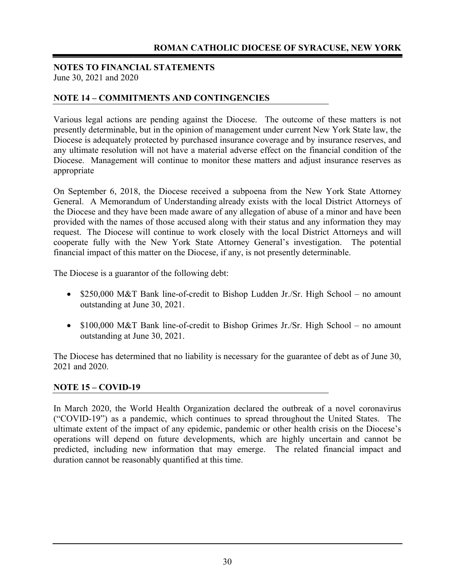#### **NOTE 14 – COMMITMENTS AND CONTINGENCIES**

Various legal actions are pending against the Diocese. The outcome of these matters is not presently determinable, but in the opinion of management under current New York State law, the Diocese is adequately protected by purchased insurance coverage and by insurance reserves, and any ultimate resolution will not have a material adverse effect on the financial condition of the Diocese. Management will continue to monitor these matters and adjust insurance reserves as appropriate

On September 6, 2018, the Diocese received a subpoena from the New York State Attorney General. A Memorandum of Understanding already exists with the local District Attorneys of the Diocese and they have been made aware of any allegation of abuse of a minor and have been provided with the names of those accused along with their status and any information they may request. The Diocese will continue to work closely with the local District Attorneys and will cooperate fully with the New York State Attorney General's investigation. The potential financial impact of this matter on the Diocese, if any, is not presently determinable.

The Diocese is a guarantor of the following debt:

- \$250,000 M&T Bank line-of-credit to Bishop Ludden Jr./Sr. High School no amount outstanding at June 30, 2021.
- \$100,000 M&T Bank line-of-credit to Bishop Grimes Jr./Sr. High School no amount outstanding at June 30, 2021.

The Diocese has determined that no liability is necessary for the guarantee of debt as of June 30, 2021 and 2020.

#### **NOTE 15 – COVID-19**

In March 2020, the World Health Organization declared the outbreak of a novel coronavirus ("COVID-19") as a pandemic, which continues to spread throughout the United States. The ultimate extent of the impact of any epidemic, pandemic or other health crisis on the Diocese's operations will depend on future developments, which are highly uncertain and cannot be predicted, including new information that may emerge. The related financial impact and duration cannot be reasonably quantified at this time.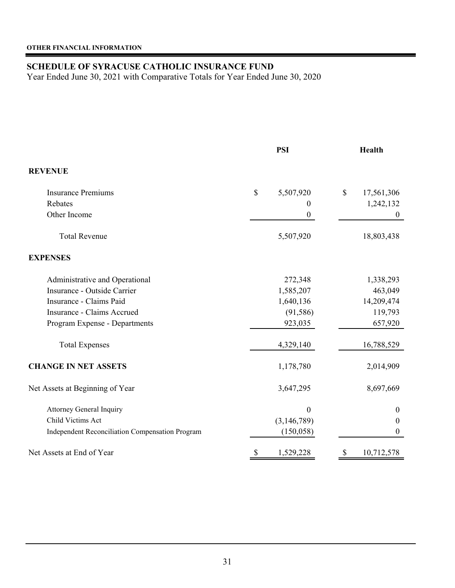### **SCHEDULE OF SYRACUSE CATHOLIC INSURANCE FUND**

Year Ended June 30, 2021 with Comparative Totals for Year Ended June 30, 2020

|                                                 | <b>PSI</b>       | <b>Health</b>    |
|-------------------------------------------------|------------------|------------------|
| <b>REVENUE</b>                                  |                  |                  |
| <b>Insurance Premiums</b>                       | \$<br>5,507,920  | \$<br>17,561,306 |
| Rebates                                         | $\boldsymbol{0}$ | 1,242,132        |
| Other Income                                    | $\boldsymbol{0}$ | $\boldsymbol{0}$ |
| <b>Total Revenue</b>                            | 5,507,920        | 18,803,438       |
| <b>EXPENSES</b>                                 |                  |                  |
| Administrative and Operational                  | 272,348          | 1,338,293        |
| Insurance - Outside Carrier                     | 1,585,207        | 463,049          |
| Insurance - Claims Paid                         | 1,640,136        | 14,209,474       |
| Insurance - Claims Accrued                      | (91, 586)        | 119,793          |
| Program Expense - Departments                   | 923,035          | 657,920          |
| <b>Total Expenses</b>                           | 4,329,140        | 16,788,529       |
| <b>CHANGE IN NET ASSETS</b>                     | 1,178,780        | 2,014,909        |
| Net Assets at Beginning of Year                 | 3,647,295        | 8,697,669        |
| Attorney General Inquiry                        | $\theta$         | $\boldsymbol{0}$ |
| Child Victims Act                               | (3, 146, 789)    | $\boldsymbol{0}$ |
| Independent Reconciliation Compensation Program | (150, 058)       | $\boldsymbol{0}$ |
| Net Assets at End of Year                       | 1,529,228<br>S   | 10,712,578<br>\$ |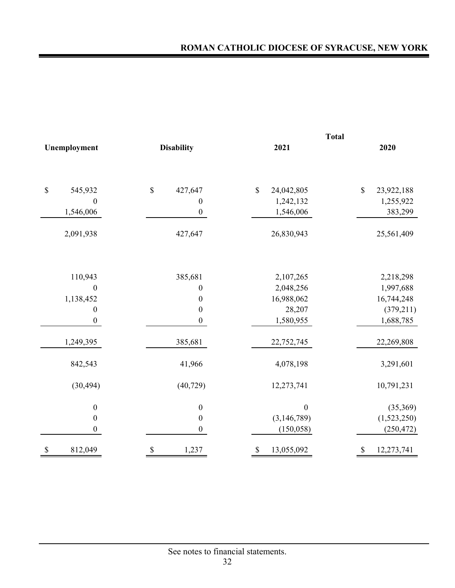|                           |                  |                   | <b>Total</b>     |            |                  |  |                           |             |  |
|---------------------------|------------------|-------------------|------------------|------------|------------------|--|---------------------------|-------------|--|
| Unemployment              |                  | <b>Disability</b> |                  | 2021       |                  |  | 2020                      |             |  |
|                           |                  |                   |                  |            |                  |  |                           |             |  |
| $\mathbb S$               | 545,932          | $\$$              | 427,647          | \$         | 24,042,805       |  | $\boldsymbol{\mathsf{S}}$ | 23,922,188  |  |
|                           | $\boldsymbol{0}$ |                   | $\boldsymbol{0}$ |            | 1,242,132        |  |                           | 1,255,922   |  |
|                           | 1,546,006        |                   | $\boldsymbol{0}$ |            | 1,546,006        |  |                           | 383,299     |  |
|                           | 2,091,938        |                   | 427,647          |            | 26,830,943       |  |                           | 25,561,409  |  |
|                           |                  |                   |                  |            |                  |  |                           |             |  |
|                           | 110,943          |                   | 385,681          |            | 2,107,265        |  |                           | 2,218,298   |  |
|                           | $\boldsymbol{0}$ |                   | $\boldsymbol{0}$ | 2,048,256  |                  |  | 1,997,688                 |             |  |
|                           | 1,138,452        |                   | $\boldsymbol{0}$ | 16,988,062 |                  |  | 16,744,248                |             |  |
|                           | $\boldsymbol{0}$ |                   | $\boldsymbol{0}$ |            | 28,207           |  |                           | (379, 211)  |  |
|                           | $\boldsymbol{0}$ |                   | $\boldsymbol{0}$ |            | 1,580,955        |  |                           | 1,688,785   |  |
|                           | 1,249,395        |                   | 385,681          |            | 22,752,745       |  |                           | 22,269,808  |  |
|                           | 842,543          | 41,966            |                  |            | 4,078,198        |  |                           | 3,291,601   |  |
|                           | (30, 494)        | (40, 729)         |                  | 12,273,741 |                  |  | 10,791,231                |             |  |
|                           | $\boldsymbol{0}$ |                   | $\boldsymbol{0}$ |            | $\boldsymbol{0}$ |  |                           | (35,369)    |  |
|                           | $\boldsymbol{0}$ |                   | $\boldsymbol{0}$ |            | (3, 146, 789)    |  |                           | (1,523,250) |  |
|                           | $\boldsymbol{0}$ |                   | $\boldsymbol{0}$ |            | (150, 058)       |  |                           | (250, 472)  |  |
| $\boldsymbol{\mathsf{S}}$ | 812,049          | $\mathbb{S}$      | 1,237            | \$         | 13,055,092       |  | $\$$                      | 12,273,741  |  |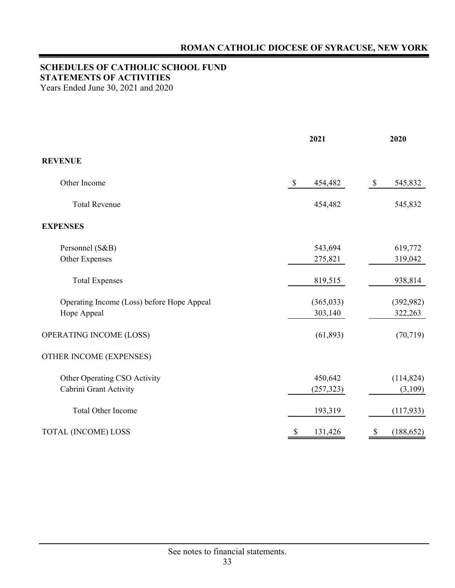## **SCHEDULES OF CATHOLIC SCHOOL FUND STATEMENTS OF ACTIVITIES**

Years Ended June 30, 2021 and 2020

|                                                           | 2021                                 | 2020                    |  |
|-----------------------------------------------------------|--------------------------------------|-------------------------|--|
| <b>REVENUE</b>                                            |                                      |                         |  |
| Other Income                                              | $\mathcal{S}$<br>454,482             | $\mathbb{S}$<br>545,832 |  |
| <b>Total Revenue</b>                                      | 454,482                              | 545,832                 |  |
| <b>EXPENSES</b>                                           |                                      |                         |  |
| Personnel (S&B)<br>Other Expenses                         | 543,694<br>275,821                   | 619,772<br>319,042      |  |
| <b>Total Expenses</b>                                     | 819,515                              | 938,814                 |  |
| Operating Income (Loss) before Hope Appeal<br>Hope Appeal | (365, 033)<br>303,140                | (392, 982)<br>322,263   |  |
| OPERATING INCOME (LOSS)                                   | (61, 893)                            | (70, 719)               |  |
| OTHER INCOME (EXPENSES)                                   |                                      |                         |  |
| Other Operating CSO Activity<br>Cabrini Grant Activity    | 450,642<br>(257, 323)                | (114, 824)<br>(3,109)   |  |
| Total Other Income                                        | 193,319                              | (117, 933)              |  |
| TOTAL (INCOME) LOSS                                       | $\boldsymbol{\mathsf{S}}$<br>131,426 | (188, 652)<br>\$        |  |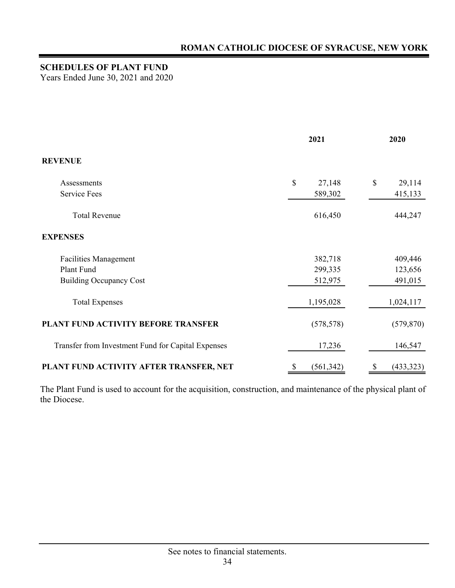## **SCHEDULES OF PLANT FUND**

Years Ended June 30, 2021 and 2020

|                                                    | 2021                                    | 2020                        |  |
|----------------------------------------------------|-----------------------------------------|-----------------------------|--|
| <b>REVENUE</b>                                     |                                         |                             |  |
| Assessments                                        | \$<br>27,148                            | $\mathbb{S}$<br>29,114      |  |
| <b>Service Fees</b>                                | 589,302                                 | 415,133                     |  |
| <b>Total Revenue</b>                               | 616,450                                 | 444,247                     |  |
| <b>EXPENSES</b>                                    |                                         |                             |  |
| <b>Facilities Management</b>                       | 382,718                                 | 409,446                     |  |
| Plant Fund                                         | 299,335                                 | 123,656                     |  |
| <b>Building Occupancy Cost</b>                     | 512,975                                 | 491,015                     |  |
| <b>Total Expenses</b>                              | 1,195,028                               | 1,024,117                   |  |
| PLANT FUND ACTIVITY BEFORE TRANSFER                | (578, 578)                              | (579, 870)                  |  |
| Transfer from Investment Fund for Capital Expenses | 17,236                                  | 146,547                     |  |
| PLANT FUND ACTIVITY AFTER TRANSFER, NET            | (561, 342)<br>$\boldsymbol{\mathsf{S}}$ | (433, 323)<br><sup>\$</sup> |  |

The Plant Fund is used to account for the acquisition, construction, and maintenance of the physical plant of the Diocese.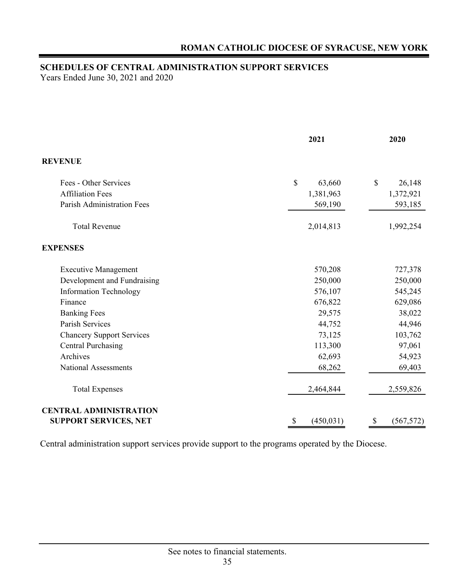## **SCHEDULES OF CENTRAL ADMINISTRATION SUPPORT SERVICES**

Years Ended June 30, 2021 and 2020

|                                                               | 2021                    | 2020             |
|---------------------------------------------------------------|-------------------------|------------------|
| <b>REVENUE</b>                                                |                         |                  |
| Fees - Other Services                                         | $\mathcal{S}$<br>63,660 | \$<br>26,148     |
| <b>Affiliation Fees</b>                                       | 1,381,963               | 1,372,921        |
| <b>Parish Administration Fees</b>                             | 569,190                 | 593,185          |
| <b>Total Revenue</b>                                          | 2,014,813               | 1,992,254        |
| <b>EXPENSES</b>                                               |                         |                  |
| <b>Executive Management</b>                                   | 570,208                 | 727,378          |
| Development and Fundraising                                   | 250,000                 | 250,000          |
| <b>Information Technology</b>                                 | 576,107                 | 545,245          |
| Finance                                                       | 676,822                 | 629,086          |
| <b>Banking Fees</b>                                           | 29,575                  | 38,022           |
| Parish Services                                               | 44,752                  | 44,946           |
| <b>Chancery Support Services</b>                              | 73,125                  | 103,762          |
| <b>Central Purchasing</b>                                     | 113,300                 | 97,061           |
| Archives                                                      | 62,693                  | 54,923           |
| <b>National Assessments</b>                                   | 68,262                  | 69,403           |
| <b>Total Expenses</b>                                         | 2,464,844               | 2,559,826        |
| <b>CENTRAL ADMINISTRATION</b><br><b>SUPPORT SERVICES, NET</b> | (450, 031)<br>\$        | \$<br>(567, 572) |

Central administration support services provide support to the programs operated by the Diocese.